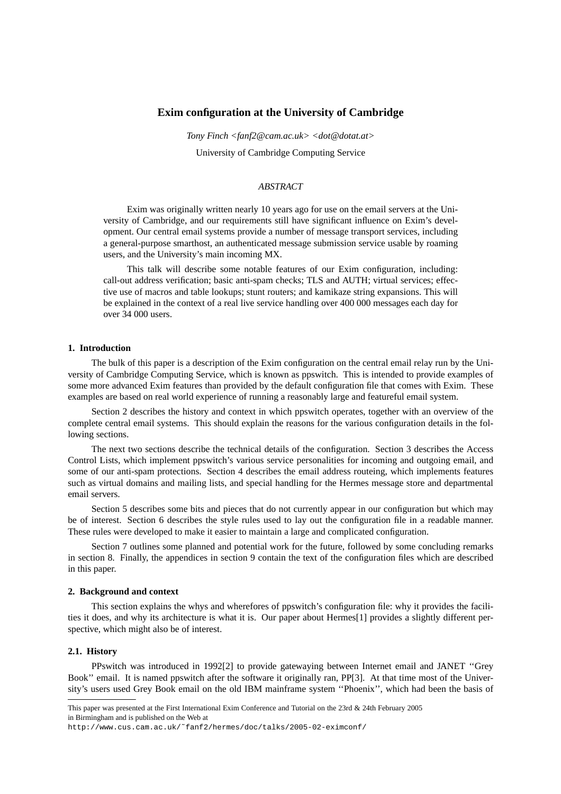# **Exim configuration at the University of Cambridge**

*Tony Finch <fanf2@cam.ac.uk> <dot@dotat.at>* University of Cambridge Computing Service

## *ABSTRACT*

Exim was originally written nearly 10 years ago for use on the email servers at the University of Cambridge, and our requirements still have significant influence on Exim's development. Our central email systems provide a number of message transport services, including a general-purpose smarthost, an authenticated message submission service usable by roaming users, and the University's main incoming MX.

This talk will describe some notable features of our Exim configuration, including: call-out address verification; basic anti-spam checks; TLS and AUTH; virtual services; effective use of macros and table lookups; stunt routers; and kamikaze string expansions. This will be explained in the context of a real live service handling over 400 000 messages each day for over 34 000 users.

# **1. Introduction**

The bulk of this paper is a description of the Exim configuration on the central email relay run by the University of Cambridge Computing Service, which is known as ppswitch. This is intended to provide examples of some more advanced Exim features than provided by the default configuration file that comes with Exim. These examples are based on real world experience of running a reasonably large and featureful email system.

Section 2 describes the history and context in which ppswitch operates, together with an overview of the complete central email systems. This should explain the reasons for the various configuration details in the following sections.

The next two sections describe the technical details of the configuration. Section 3 describes the Access Control Lists, which implement ppswitch's various service personalities for incoming and outgoing email, and some of our anti-spam protections. Section 4 describes the email address routeing, which implements features such as virtual domains and mailing lists, and special handling for the Hermes message store and departmental email servers.

Section 5 describes some bits and pieces that do not currently appear in our configuration but which may be of interest. Section 6 describes the style rules used to lay out the configuration file in a readable manner. These rules were developed to make it easier to maintain a large and complicated configuration.

Section 7 outlines some planned and potential work for the future, followed by some concluding remarks in section 8. Finally, the appendices in section 9 contain the text of the configuration files which are described in this paper.

### **2. Background and context**

This section explains the whys and wherefores of ppswitch's configuration file: why it provides the facilities it does, and why its architecture is what it is. Our paper about Hermes[1] provides a slightly different perspective, which might also be of interest.

### **2.1. History**

PPswitch was introduced in 1992[2] to provide gatewaying between Internet email and JANET ''Grey Book'' email. It is named ppswitch after the software it originally ran, PP[3]. At that time most of the University's users used Grey Book email on the old IBM mainframe system ''Phoenix'', which had been the basis of

This paper was presented at the First International Exim Conference and Tutorial on the 23rd & 24th February 2005 in Birmingham and is published on the Web at

http://www.cus.cam.ac.uk/˜fanf2/hermes/doc/talks/2005-02-eximconf/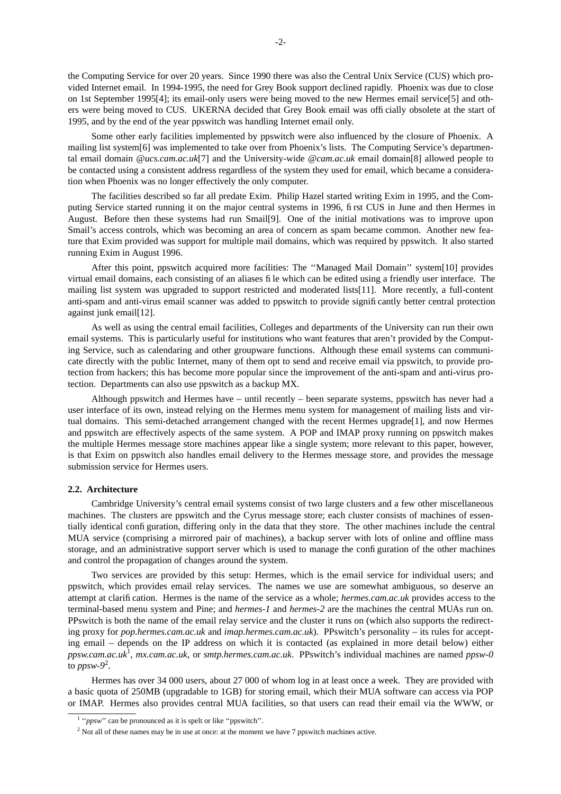the Computing Service for over 20 years. Since 1990 there was also the Central Unix Service (CUS) which provided Internet email. In 1994-1995, the need for Grey Book support declined rapidly. Phoenix was due to close on 1st September 1995[4]; its email-only users were being moved to the new Hermes email service[5] and others were being moved to CUS. UKERNA decided that Grey Book email was officially obsolete at the start of 1995, and by the end of the year ppswitch was handling Internet email only.

Some other early facilities implemented by ppswitch were also influenced by the closure of Phoenix. A mailing list system[6] was implemented to take over from Phoenix's lists. The Computing Service's departmental email domain *@ucs.cam.ac.uk*[7] and the University-wide *@cam.ac.uk* email domain[8] allowed people to be contacted using a consistent address regardless of the system they used for email, which became a consideration when Phoenix was no longer effectively the only computer.

The facilities described so far all predate Exim. Philip Hazel started writing Exim in 1995, and the Computing Service started running it on the major central systems in 1996, first CUS in June and then Hermes in August. Before then these systems had run Smail[9]. One of the initial motivations was to improve upon Smail's access controls, which was becoming an area of concern as spam became common. Another new feature that Exim provided was support for multiple mail domains, which was required by ppswitch. It also started running Exim in August 1996.

After this point, ppswitch acquired more facilities: The ''Managed Mail Domain'' system[10] provides virtual email domains, each consisting of an aliases file which can be edited using a friendly user interface. The mailing list system was upgraded to support restricted and moderated lists[11]. More recently, a full-content anti-spam and anti-virus email scanner was added to ppswitch to provide significantly better central protection against junk email[12].

As well as using the central email facilities, Colleges and departments of the University can run their own email systems. This is particularly useful for institutions who want features that aren't provided by the Computing Service, such as calendaring and other groupware functions. Although these email systems can communicate directly with the public Internet, many of them opt to send and receive email via ppswitch, to provide protection from hackers; this has become more popular since the improvement of the anti-spam and anti-virus protection. Departments can also use ppswitch as a backup MX.

Although ppswitch and Hermes have – until recently – been separate systems, ppswitch has never had a user interface of its own, instead relying on the Hermes menu system for management of mailing lists and virtual domains. This semi-detached arrangement changed with the recent Hermes upgrade[1], and now Hermes and ppswitch are effectively aspects of the same system. A POP and IMAP proxy running on ppswitch makes the multiple Hermes message store machines appear like a single system; more relevant to this paper, however, is that Exim on ppswitch also handles email delivery to the Hermes message store, and provides the message submission service for Hermes users.

## **2.2. Architecture**

Cambridge University's central email systems consist of two large clusters and a few other miscellaneous machines. The clusters are ppswitch and the Cyrus message store; each cluster consists of machines of essentially identical configuration, differing only in the data that they store. The other machines include the central MUA service (comprising a mirrored pair of machines), a backup server with lots of online and offline mass storage, and an administrative support server which is used to manage the configuration of the other machines and control the propagation of changes around the system.

Two services are provided by this setup: Hermes, which is the email service for individual users; and ppswitch, which provides email relay services. The names we use are somewhat ambiguous, so deserve an attempt at clarification. Hermes is the name of the service as a whole; *hermes.cam.ac.uk* provides access to the terminal-based menu system and Pine; and *hermes-1* and *hermes-2* are the machines the central MUAs run on. PPswitch is both the name of the email relay service and the cluster it runs on (which also supports the redirecting proxy for *pop.hermes.cam.ac.uk* and *imap.hermes.cam.ac.uk*). PPswitch's personality – its rules for accepting email – depends on the IP address on which it is contacted (as explained in more detail below) either *ppsw.cam.ac.uk*<sup>1</sup> , *mx.cam.ac.uk*, or *smtp.hermes.cam.ac.uk*. PPswitch's individual machines are named *ppsw-0* to *ppsw-9*<sup>2</sup> .

Hermes has over 34 000 users, about 27 000 of whom log in at least once a week. They are provided with a basic quota of 250MB (upgradable to 1GB) for storing email, which their MUA software can access via POP or IMAP. Hermes also provides central MUA facilities, so that users can read their email via the WWW, or

<sup>&</sup>lt;sup>1</sup> "*ppsw*" can be pronounced as it is spelt or like "ppswitch".

<sup>&</sup>lt;sup>2</sup> Not all of these names may be in use at once: at the moment we have 7 ppswitch machines active.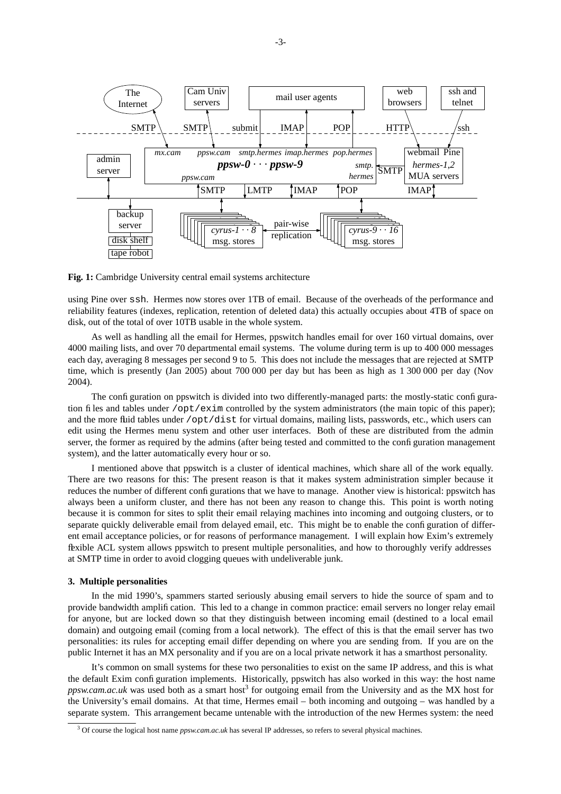

**Fig. 1:** Cambridge University central email systems architecture

using Pine over ssh. Hermes now stores over 1TB of email. Because of the overheads of the performance and reliability features (indexes, replication, retention of deleted data) this actually occupies about 4TB of space on disk, out of the total of over 10TB usable in the whole system.

As well as handling all the email for Hermes, ppswitch handles email for over 160 virtual domains, over 4000 mailing lists, and over 70 departmental email systems. The volume during term is up to 400 000 messages each day, averaging 8 messages per second 9 to 5. This does not include the messages that are rejected at SMTP time, which is presently (Jan 2005) about 700 000 per day but has been as high as 1 300 000 per day (Nov 2004).

The configuration on ppswitch is divided into two differently-managed parts: the mostly-static configuration files and tables under /opt/exim controlled by the system administrators (the main topic of this paper); and the more fluid tables under /opt/dist for virtual domains, mailing lists, passwords, etc., which users can edit using the Hermes menu system and other user interfaces. Both of these are distributed from the admin server, the former as required by the admins (after being tested and committed to the configuration management system), and the latter automatically every hour or so.

I mentioned above that ppswitch is a cluster of identical machines, which share all of the work equally. There are two reasons for this: The present reason is that it makes system administration simpler because it reduces the number of different configurations that we have to manage. Another view is historical: ppswitch has always been a uniform cluster, and there has not been any reason to change this. This point is worth noting because it is common for sites to split their email relaying machines into incoming and outgoing clusters, or to separate quickly deliverable email from delayed email, etc. This might be to enable the configuration of different email acceptance policies, or for reasons of performance management. I will explain how Exim's extremely flexible ACL system allows ppswitch to present multiple personalities, and how to thoroughly verify addresses at SMTP time in order to avoid clogging queues with undeliverable junk.

## **3. Multiple personalities**

In the mid 1990's, spammers started seriously abusing email servers to hide the source of spam and to provide bandwidth amplification. This led to a change in common practice: email servers no longer relay email for anyone, but are locked down so that they distinguish between incoming email (destined to a local email domain) and outgoing email (coming from a local network). The effect of this is that the email server has two personalities: its rules for accepting email differ depending on where you are sending from. If you are on the public Internet it has an MX personality and if you are on a local private network it has a smarthost personality.

It's common on small systems for these two personalities to exist on the same IP address, and this is what the default Exim configuration implements. Historically, ppswitch has also worked in this way: the host name *ppsw.cam.ac.uk* was used both as a smart host<sup>3</sup> for outgoing email from the University and as the MX host for the University's email domains. At that time, Hermes email – both incoming and outgoing – was handled by a separate system. This arrangement became untenable with the introduction of the new Hermes system: the need

<sup>&</sup>lt;sup>3</sup> Of course the logical host name *ppsw.cam.ac.uk* has several IP addresses, so refers to several physical machines.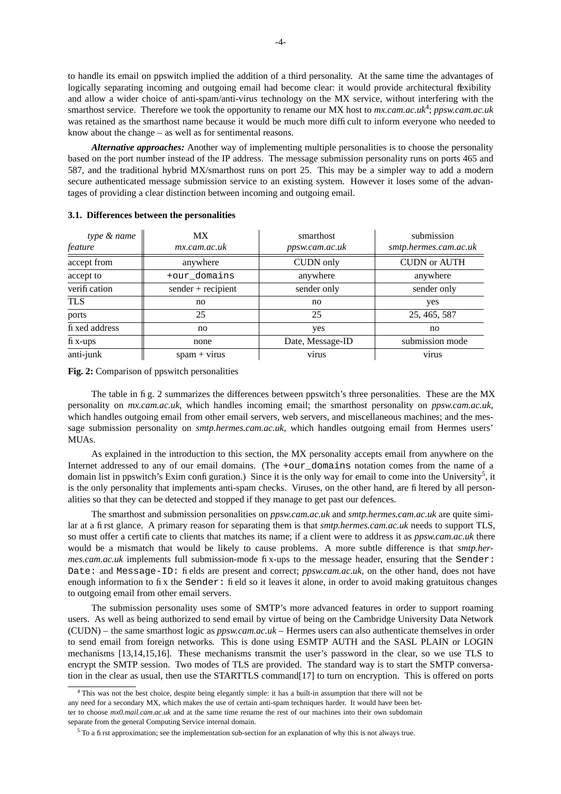to handle its email on ppswitch implied the addition of a third personality. At the same time the advantages of logically separating incoming and outgoing email had become clear: it would provide architectural flexibility and allow a wider choice of anti-spam/anti-virus technology on the MX service, without interfering with the smarthost service. Therefore we took the opportunity to rename our MX host to mx.cam.ac.uk<sup>4</sup>; ppsw.cam.ac.uk was retained as the smarthost name because it would be much more difficult to inform everyone who needed to know about the change – as well as for sentimental reasons.

*Alternative approaches:* Another way of implementing multiple personalities is to choose the personality based on the port number instead of the IP address. The message submission personality runs on ports 465 and 587, and the traditional hybrid MX/smarthost runs on port 25. This may be a simpler way to add a modern secure authenticated message submission service to an existing system. However it loses some of the advantages of providing a clear distinction between incoming and outgoing email.

| type & name    | MX.                  | smarthost        | submission            |
|----------------|----------------------|------------------|-----------------------|
| feature        | mx.cam.ac.uk         | ppsw.cam.ac.uk   | smtp.hermes.cam.ac.uk |
| accept from    | anywhere             | <b>CUDN</b> only | <b>CUDN or AUTH</b>   |
| accept to      | +our_domains         | anywhere         | anywhere              |
| verification   | $sender + recipient$ | sender only      | sender only           |
| <b>TLS</b>     | no                   | no               | yes                   |
| ports          | 25                   | 25               | 25, 465, 587          |
| fi xed address | no                   | yes              | no                    |
| $fi$ x-ups     | none                 | Date, Message-ID | submission mode       |
| anti-junk      | $spam + virus$       | virus            | virus                 |

### **3.1. Differences between the personalities**

**Fig. 2:** Comparison of ppswitch personalities

The table in fig. 2 summarizes the differences between ppswitch's three personalities. These are the MX personality on *mx.cam.ac.uk*, which handles incoming email; the smarthost personality on *ppsw.cam.ac.uk*, which handles outgoing email from other email servers, web servers, and miscellaneous machines; and the message submission personality on *smtp.hermes.cam.ac.uk*, which handles outgoing email from Hermes users' MUAs.

As explained in the introduction to this section, the MX personality accepts email from anywhere on the Internet addressed to any of our email domains. (The +our\_domains notation comes from the name of a domain list in ppswitch's Exim configuration.) Since it is the only way for email to come into the University<sup>5</sup>, it is the only personality that implements anti-spam checks. Viruses, on the other hand, are filtered by all personalities so that they can be detected and stopped if they manage to get past our defences.

The smarthost and submission personalities on *ppsw.cam.ac.uk* and *smtp.hermes.cam.ac.uk* are quite similar at a first glance. A primary reason for separating them is that *smtp.hermes.cam.ac.uk* needs to support TLS, so must offer a certificate to clients that matches its name; if a client were to address it as *ppsw.cam.ac.uk* there would be a mismatch that would be likely to cause problems. A more subtle difference is that *smtp.hermes.cam.ac.uk* implements full submission-mode fix-ups to the message header, ensuring that the Sender: Date: and Message-ID: fields are present and correct; *ppsw.cam.ac.uk*, on the other hand, does not have enough information to fix the Sender: field so it leaves it alone, in order to avoid making gratuitous changes to outgoing email from other email servers.

The submission personality uses some of SMTP's more advanced features in order to support roaming users. As well as being authorized to send email by virtue of being on the Cambridge University Data Network (CUDN) – the same smarthost logic as *ppsw.cam.ac.uk* – Hermes users can also authenticate themselves in order to send email from foreign networks. This is done using ESMTP AUTH and the SASL PLAIN or LOGIN mechanisms [13,14,15,16]. These mechanisms transmit the user's password in the clear, so we use TLS to encrypt the SMTP session. Two modes of TLS are provided. The standard way is to start the SMTP conversation in the clear as usual, then use the STARTTLS command[17] to turn on encryption. This is offered on ports

<sup>4</sup> This was not the best choice, despite being elegantly simple: it has a built-in assumption that there will not be any need for a secondary MX, which makes the use of certain anti-spam techniques harder. It would have been better to choose *mx0.mail.cam.ac.uk* and at the same time rename the rest of our machines into their own subdomain separate from the general Computing Service internal domain.

<sup>5</sup> To a first approximation; see the implementation sub-section for an explanation of why this is not always true.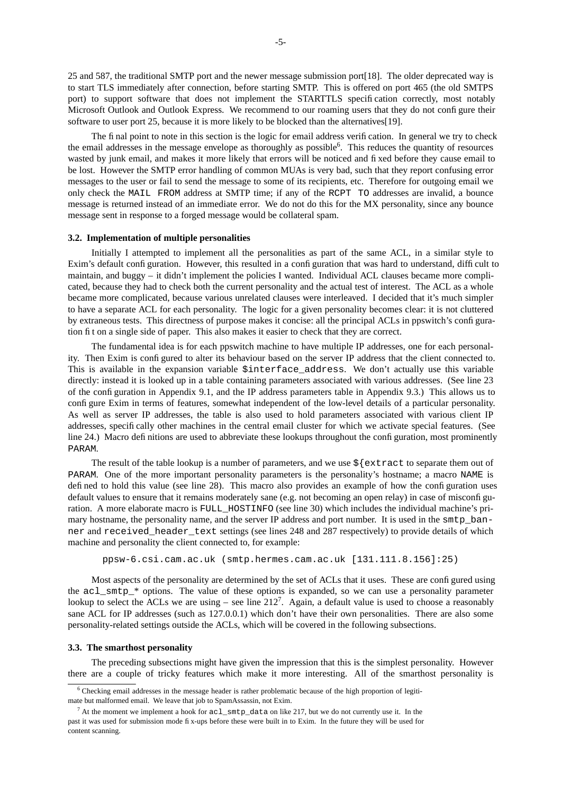25 and 587, the traditional SMTP port and the newer message submission port[18]. The older deprecated way is to start TLS immediately after connection, before starting SMTP. This is offered on port 465 (the old SMTPS port) to support software that does not implement the STARTTLS specification correctly, most notably Microsoft Outlook and Outlook Express. We recommend to our roaming users that they do not configure their software to user port 25, because it is more likely to be blocked than the alternatives[19].

The final point to note in this section is the logic for email address verification. In general we try to check the email addresses in the message envelope as thoroughly as possible<sup>6</sup>. This reduces the quantity of resources wasted by junk email, and makes it more likely that errors will be noticed and fixed before they cause email to be lost. However the SMTP error handling of common MUAs is very bad, such that they report confusing error messages to the user or fail to send the message to some of its recipients, etc. Therefore for outgoing email we only check the MAIL FROM address at SMTP time; if any of the RCPT TO addresses are invalid, a bounce message is returned instead of an immediate error. We do not do this for the MX personality, since any bounce message sent in response to a forged message would be collateral spam.

### **3.2. Implementation of multiple personalities**

Initially I attempted to implement all the personalities as part of the same ACL, in a similar style to Exim's default configuration. However, this resulted in a configuration that was hard to understand, difficult to maintain, and buggy – it didn't implement the policies I wanted. Individual ACL clauses became more complicated, because they had to check both the current personality and the actual test of interest. The ACL as a whole became more complicated, because various unrelated clauses were interleaved. I decided that it's much simpler to have a separate ACL for each personality. The logic for a given personality becomes clear: it is not cluttered by extraneous tests. This directness of purpose makes it concise: all the principal ACLs in ppswitch's configuration fit on a single side of paper. This also makes it easier to check that they are correct.

The fundamental idea is for each ppswitch machine to have multiple IP addresses, one for each personality. Then Exim is configured to alter its behaviour based on the server IP address that the client connected to. This is available in the expansion variable \$interface\_address. We don't actually use this variable directly: instead it is looked up in a table containing parameters associated with various addresses. (See line 23 of the configuration in Appendix 9.1, and the IP address parameters table in Appendix 9.3.) This allows us to configure Exim in terms of features, somewhat independent of the low-level details of a particular personality. As well as server IP addresses, the table is also used to hold parameters associated with various client IP addresses, specifically other machines in the central email cluster for which we activate special features. (See line 24.) Macro definitions are used to abbreviate these lookups throughout the configuration, most prominently PARAM.

The result of the table lookup is a number of parameters, and we use  $\frac{1}{5}$  extract to separate them out of PARAM. One of the more important personality parameters is the personality's hostname; a macro NAME is defined to hold this value (see line 28). This macro also provides an example of how the configuration uses default values to ensure that it remains moderately sane (e.g. not becoming an open relay) in case of misconfiguration. A more elaborate macro is FULL\_HOSTINFO (see line 30) which includes the individual machine's primary hostname, the personality name, and the server IP address and port number. It is used in the smtp\_banner and received\_header\_text settings (see lines 248 and 287 respectively) to provide details of which machine and personality the client connected to, for example:

ppsw-6.csi.cam.ac.uk (smtp.hermes.cam.ac.uk [131.111.8.156]:25)

Most aspects of the personality are determined by the set of ACLs that it uses. These are configured using the  $acl$  smtp  $*$  options. The value of these options is expanded, so we can use a personality parameter lookup to select the ACLs we are using – see line  $212^7$ . Again, a default value is used to choose a reasonably sane ACL for IP addresses (such as 127.0.0.1) which don't have their own personalities. There are also some personality-related settings outside the ACLs, which will be covered in the following subsections.

### **3.3. The smarthost personality**

The preceding subsections might have given the impression that this is the simplest personality. However there are a couple of tricky features which make it more interesting. All of the smarthost personality is

<sup>6</sup> Checking email addresses in the message header is rather problematic because of the high proportion of legiti-

mate but malformed email. We leave that job to SpamAssassin, not Exim.

 $^7$  At the moment we implement a hook for acl\_smtp\_data on like 217, but we do not currently use it. In the past it was used for submission mode fix-ups before these were built in to Exim. In the future they will be used for content scanning.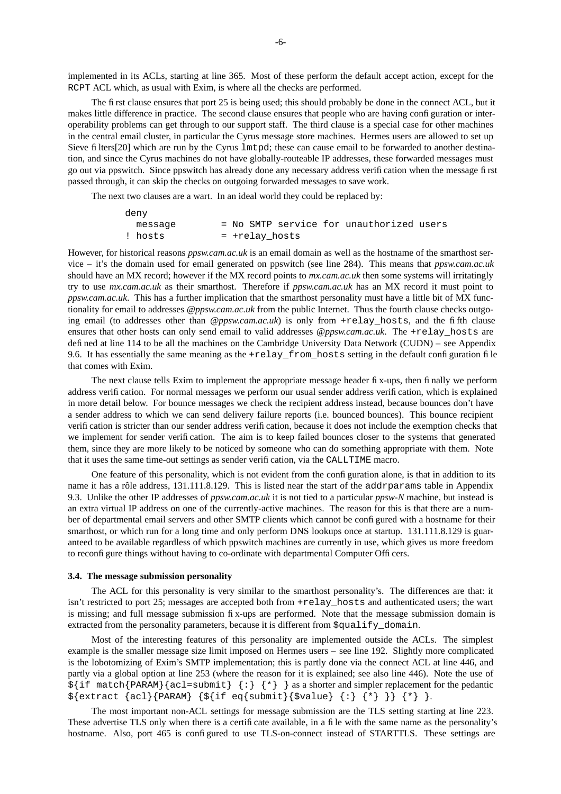implemented in its ACLs, starting at line 365. Most of these perform the default accept action, except for the RCPT ACL which, as usual with Exim, is where all the checks are performed.

The first clause ensures that port 25 is being used; this should probably be done in the connect ACL, but it makes little difference in practice. The second clause ensures that people who are having configuration or interoperability problems can get through to our support staff. The third clause is a special case for other machines in the central email cluster, in particular the Cyrus message store machines. Hermes users are allowed to set up Sieve filters[20] which are run by the Cyrus lmtpd; these can cause email to be forwarded to another destination, and since the Cyrus machines do not have globally-routeable IP addresses, these forwarded messages must go out via ppswitch. Since ppswitch has already done any necessary address verification when the message first passed through, it can skip the checks on outgoing forwarded messages to save work.

The next two clauses are a wart. In an ideal world they could be replaced by:

| deny    |  |                |                                          |  |
|---------|--|----------------|------------------------------------------|--|
| message |  |                | = No SMTP service for unauthorized users |  |
| ! hosts |  | = +relay hosts |                                          |  |

However, for historical reasons *ppsw.cam.ac.uk* is an email domain as well as the hostname of the smarthost service – it's the domain used for email generated on ppswitch (see line 284). This means that *ppsw.cam.ac.uk* should have an MX record; however if the MX record points to *mx.cam.ac.uk* then some systems will irritatingly try to use *mx.cam.ac.uk* as their smarthost. Therefore if *ppsw.cam.ac.uk* has an MX record it must point to *ppsw.cam.ac.uk*. This has a further implication that the smarthost personality must have a little bit of MX functionality for email to addresses *@ppsw.cam.ac.uk* from the public Internet. Thus the fourth clause checks outgoing email (to addresses other than *@ppsw.cam.ac.uk*) is only from +relay\_hosts, and the fifth clause ensures that other hosts can only send email to valid addresses *@ppsw.cam.ac.uk*. The +relay\_hosts are defined at line 114 to be all the machines on the Cambridge University Data Network (CUDN) – see Appendix 9.6. It has essentially the same meaning as the  $+$ relay\_from\_hosts setting in the default configuration file that comes with Exim.

The next clause tells Exim to implement the appropriate message header fix-ups, then finally we perform address verification. For normal messages we perform our usual sender address verification, which is explained in more detail below. For bounce messages we check the recipient address instead, because bounces don't have a sender address to which we can send delivery failure reports (i.e. bounced bounces). This bounce recipient verification is stricter than our sender address verification, because it does not include the exemption checks that we implement for sender verification. The aim is to keep failed bounces closer to the systems that generated them, since they are more likely to be noticed by someone who can do something appropriate with them. Note that it uses the same time-out settings as sender verification, via the CALLTIME macro.

One feature of this personality, which is not evident from the configuration alone, is that in addition to its name it has a rôle address, 131.111.8.129. This is listed near the start of the addrparams table in Appendix 9.3. Unlike the other IP addresses of *ppsw.cam.ac.uk* it is not tied to a particular *ppsw-N* machine, but instead is an extra virtual IP address on one of the currently-active machines. The reason for this is that there are a number of departmental email servers and other SMTP clients which cannot be configured with a hostname for their smarthost, or which run for a long time and only perform DNS lookups once at startup. 131.111.8.129 is guaranteed to be available regardless of which ppswitch machines are currently in use, which gives us more freedom to reconfigure things without having to co-ordinate with departmental Computer Officers.

### **3.4. The message submission personality**

The ACL for this personality is very similar to the smarthost personality's. The differences are that: it isn't restricted to port 25; messages are accepted both from +relay\_hosts and authenticated users; the wart is missing; and full message submission fix-ups are performed. Note that the message submission domain is extracted from the personality parameters, because it is different from  $\text{\$c}$  squalify domain.

Most of the interesting features of this personality are implemented outside the ACLs. The simplest example is the smaller message size limit imposed on Hermes users – see line 192. Slightly more complicated is the lobotomizing of Exim's SMTP implementation; this is partly done via the connect ACL at line 446, and partly via a global option at line 253 (where the reason for it is explained; see also line 446). Note the use of  $\frac{1}{2}$  {if match{PARAM}{acl=submit} {:} {\*} } as a shorter and simpler replacement for the pedantic  $${extract} {acl}$ {PARAM} { $${if eq} {submit}$ }{ $$value} { : } { * }$  } {\*} }.

The most important non-ACL settings for message submission are the TLS setting starting at line 223. These advertise TLS only when there is a certificate available, in a file with the same name as the personality's hostname. Also, port 465 is configured to use TLS-on-connect instead of STARTTLS. These settings are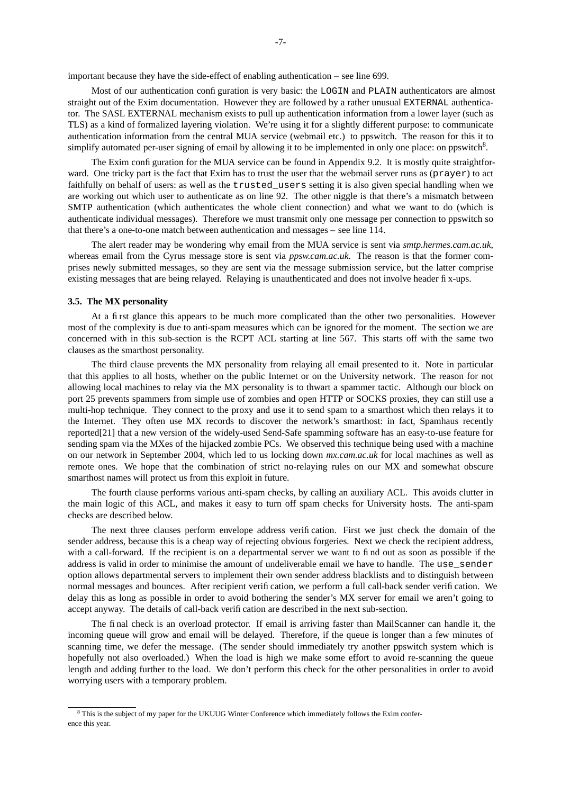important because they have the side-effect of enabling authentication – see line 699.

Most of our authentication configuration is very basic: the LOGIN and PLAIN authenticators are almost straight out of the Exim documentation. However they are followed by a rather unusual EXTERNAL authenticator. The SASL EXTERNAL mechanism exists to pull up authentication information from a lower layer (such as TLS) as a kind of formalized layering violation. We're using it for a slightly different purpose: to communicate authentication information from the central MUA service (webmail etc.) to ppswitch. The reason for this it to simplify automated per-user signing of email by allowing it to be implemented in only one place: on ppswitch<sup>8</sup>.

The Exim configuration for the MUA service can be found in Appendix 9.2. It is mostly quite straightforward. One tricky part is the fact that Exim has to trust the user that the webmail server runs as (prayer) to act faithfully on behalf of users: as well as the trusted\_users setting it is also given special handling when we are working out which user to authenticate as on line 92. The other niggle is that there's a mismatch between SMTP authentication (which authenticates the whole client connection) and what we want to do (which is authenticate individual messages). Therefore we must transmit only one message per connection to ppswitch so that there's a one-to-one match between authentication and messages – see line 114.

The alert reader may be wondering why email from the MUA service is sent via *smtp.hermes.cam.ac.uk*, whereas email from the Cyrus message store is sent via *ppsw.cam.ac.uk*. The reason is that the former comprises newly submitted messages, so they are sent via the message submission service, but the latter comprise existing messages that are being relayed. Relaying is unauthenticated and does not involve header fix-ups.

### **3.5. The MX personality**

At a first glance this appears to be much more complicated than the other two personalities. However most of the complexity is due to anti-spam measures which can be ignored for the moment. The section we are concerned with in this sub-section is the RCPT ACL starting at line 567. This starts off with the same two clauses as the smarthost personality.

The third clause prevents the MX personality from relaying all email presented to it. Note in particular that this applies to all hosts, whether on the public Internet or on the University network. The reason for not allowing local machines to relay via the MX personality is to thwart a spammer tactic. Although our block on port 25 prevents spammers from simple use of zombies and open HTTP or SOCKS proxies, they can still use a multi-hop technique. They connect to the proxy and use it to send spam to a smarthost which then relays it to the Internet. They often use MX records to discover the network's smarthost: in fact, Spamhaus recently reported[21] that a new version of the widely-used Send-Safe spamming software has an easy-to-use feature for sending spam via the MXes of the hijacked zombie PCs. We observed this technique being used with a machine on our network in September 2004, which led to us locking down *mx.cam.ac.uk* for local machines as well as remote ones. We hope that the combination of strict no-relaying rules on our MX and somewhat obscure smarthost names will protect us from this exploit in future.

The fourth clause performs various anti-spam checks, by calling an auxiliary ACL. This avoids clutter in the main logic of this ACL, and makes it easy to turn off spam checks for University hosts. The anti-spam checks are described below.

The next three clauses perform envelope address verification. First we just check the domain of the sender address, because this is a cheap way of rejecting obvious forgeries. Next we check the recipient address, with a call-forward. If the recipient is on a departmental server we want to find out as soon as possible if the address is valid in order to minimise the amount of undeliverable email we have to handle. The use sender option allows departmental servers to implement their own sender address blacklists and to distinguish between normal messages and bounces. After recipient verification, we perform a full call-back sender verification. We delay this as long as possible in order to avoid bothering the sender's MX server for email we aren't going to accept anyway. The details of call-back verification are described in the next sub-section.

The final check is an overload protector. If email is arriving faster than MailScanner can handle it, the incoming queue will grow and email will be delayed. Therefore, if the queue is longer than a few minutes of scanning time, we defer the message. (The sender should immediately try another ppswitch system which is hopefully not also overloaded.) When the load is high we make some effort to avoid re-scanning the queue length and adding further to the load. We don't perform this check for the other personalities in order to avoid worrying users with a temporary problem.

<sup>&</sup>lt;sup>8</sup> This is the subject of my paper for the UKUUG Winter Conference which immediately follows the Exim conference this year.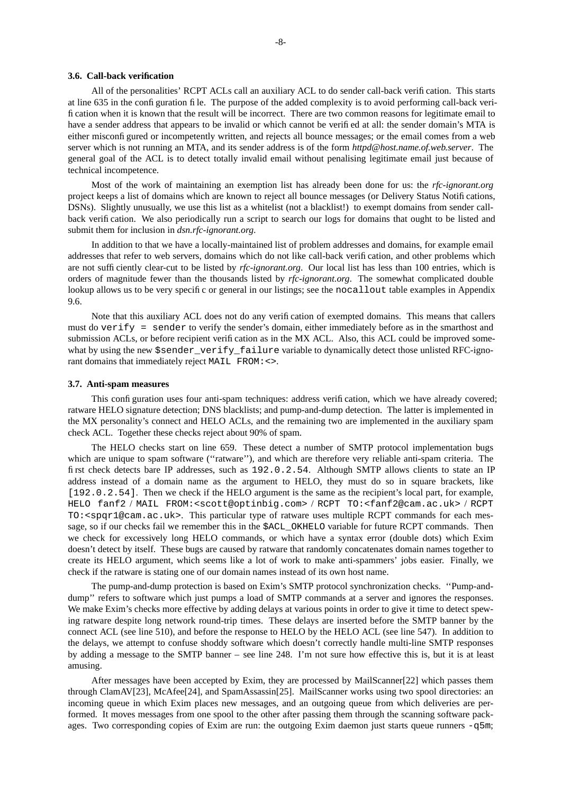### **3.6. Call-back verification**

All of the personalities' RCPT ACLs call an auxiliary ACL to do sender call-back verification. This starts at line 635 in the configuration file. The purpose of the added complexity is to avoid performing call-back verification when it is known that the result will be incorrect. There are two common reasons for legitimate email to have a sender address that appears to be invalid or which cannot be verified at all: the sender domain's MTA is either misconfigured or incompetently written, and rejects all bounce messages; or the email comes from a web server which is not running an MTA, and its sender address is of the form *httpd@host.name.of.web.server*. The general goal of the ACL is to detect totally invalid email without penalising legitimate email just because of technical incompetence.

Most of the work of maintaining an exemption list has already been done for us: the *rfc-ignorant.org* project keeps a list of domains which are known to reject all bounce messages (or Delivery Status Notifications, DSNs). Slightly unusually, we use this list as a whitelist (not a blacklist!) to exempt domains from sender callback verification. We also periodically run a script to search our logs for domains that ought to be listed and submit them for inclusion in *dsn.rfc-ignorant.org*.

In addition to that we have a locally-maintained list of problem addresses and domains, for example email addresses that refer to web servers, domains which do not like call-back verification, and other problems which are not sufficiently clear-cut to be listed by *rfc-ignorant.org*. Our local list has less than 100 entries, which is orders of magnitude fewer than the thousands listed by *rfc-ignorant.org*. The somewhat complicated double lookup allows us to be very specific or general in our listings; see the nocallout table examples in Appendix 9.6.

Note that this auxiliary ACL does not do any verification of exempted domains. This means that callers must do verify = sender to verify the sender's domain, either immediately before as in the smarthost and submission ACLs, or before recipient verification as in the MX ACL. Also, this ACL could be improved somewhat by using the new \$sender verify failure variable to dynamically detect those unlisted RFC-ignorant domains that immediately reject MAIL FROM:<>.

#### **3.7. Anti-spam measures**

This configuration uses four anti-spam techniques: address verification, which we have already covered; ratware HELO signature detection; DNS blacklists; and pump-and-dump detection. The latter is implemented in the MX personality's connect and HELO ACLs, and the remaining two are implemented in the auxiliary spam check ACL. Together these checks reject about 90% of spam.

The HELO checks start on line 659. These detect a number of SMTP protocol implementation bugs which are unique to spam software ("ratware"), and which are therefore very reliable anti-spam criteria. The first check detects bare IP addresses, such as 192.0.2.54. Although SMTP allows clients to state an IP address instead of a domain name as the argument to HELO, they must do so in square brackets, like [192.0.2.54]. Then we check if the HELO argument is the same as the recipient's local part, for example, HELO fanf2 / MAIL FROM:<scott@optinbig.com> / RCPT TO:<fanf2@cam.ac.uk> / RCPT TO:<spqr1@cam.ac.uk>. This particular type of ratware uses multiple RCPT commands for each message, so if our checks fail we remember this in the \$ACL\_OKHELO variable for future RCPT commands. Then we check for excessively long HELO commands, or which have a syntax error (double dots) which Exim doesn't detect by itself. These bugs are caused by ratware that randomly concatenates domain names together to create its HELO argument, which seems like a lot of work to make anti-spammers' jobs easier. Finally, we check if the ratware is stating one of our domain names instead of its own host name.

The pump-and-dump protection is based on Exim's SMTP protocol synchronization checks. ''Pump-anddump" refers to software which just pumps a load of SMTP commands at a server and ignores the responses. We make Exim's checks more effective by adding delays at various points in order to give it time to detect spewing ratware despite long network round-trip times. These delays are inserted before the SMTP banner by the connect ACL (see line 510), and before the response to HELO by the HELO ACL (see line 547). In addition to the delays, we attempt to confuse shoddy software which doesn't correctly handle multi-line SMTP responses by adding a message to the SMTP banner – see line 248. I'm not sure how effective this is, but it is at least amusing.

After messages have been accepted by Exim, they are processed by MailScanner[22] which passes them through ClamAV[23], McAfee[24], and SpamAssassin[25]. MailScanner works using two spool directories: an incoming queue in which Exim places new messages, and an outgoing queue from which deliveries are performed. It moves messages from one spool to the other after passing them through the scanning software packages. Two corresponding copies of Exim are run: the outgoing Exim daemon just starts queue runners -q5m;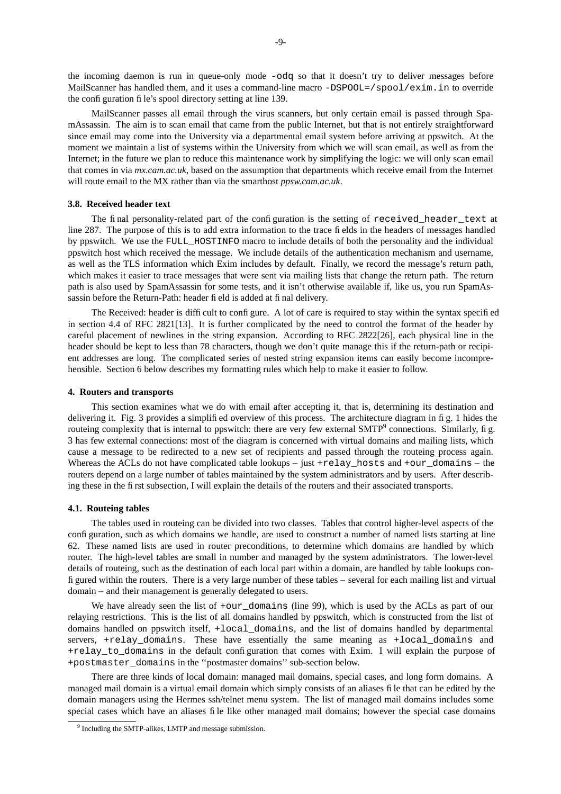the incoming daemon is run in queue-only mode -odq so that it doesn't try to deliver messages before MailScanner has handled them, and it uses a command-line macro -DSPOOL=/spool/exim.in to override the configuration file's spool directory setting at line 139.

MailScanner passes all email through the virus scanners, but only certain email is passed through SpamAssassin. The aim is to scan email that came from the public Internet, but that is not entirely straightforward since email may come into the University via a departmental email system before arriving at ppswitch. At the moment we maintain a list of systems within the University from which we will scan email, as well as from the Internet; in the future we plan to reduce this maintenance work by simplifying the logic: we will only scan email that comes in via *mx.cam.ac.uk*, based on the assumption that departments which receive email from the Internet will route email to the MX rather than via the smarthost *ppsw.cam.ac.uk*.

### **3.8. Received header text**

The final personality-related part of the configuration is the setting of received\_header\_text at line 287. The purpose of this is to add extra information to the trace fields in the headers of messages handled by ppswitch. We use the FULL\_HOSTINFO macro to include details of both the personality and the individual ppswitch host which received the message. We include details of the authentication mechanism and username, as well as the TLS information which Exim includes by default. Finally, we record the message's return path, which makes it easier to trace messages that were sent via mailing lists that change the return path. The return path is also used by SpamAssassin for some tests, and it isn't otherwise available if, like us, you run SpamAssassin before the Return-Path: header field is added at final delivery.

The Received: header is difficult to configure. A lot of care is required to stay within the syntax specified in section 4.4 of RFC 2821[13]. It is further complicated by the need to control the format of the header by careful placement of newlines in the string expansion. According to RFC 2822[26], each physical line in the header should be kept to less than 78 characters, though we don't quite manage this if the return-path or recipient addresses are long. The complicated series of nested string expansion items can easily become incomprehensible. Section 6 below describes my formatting rules which help to make it easier to follow.

### **4. Routers and transports**

This section examines what we do with email after accepting it, that is, determining its destination and delivering it. Fig. 3 provides a simplified overview of this process. The architecture diagram in fig. 1 hides the routeing complexity that is internal to ppswitch: there are very few external  $SMTP<sup>9</sup>$  connections. Similarly, fig. 3 has few external connections: most of the diagram is concerned with virtual domains and mailing lists, which cause a message to be redirected to a new set of recipients and passed through the routeing process again. Whereas the ACLs do not have complicated table lookups – just + $relay\_hosts$  and + $our\_domains -$  the routers depend on a large number of tables maintained by the system administrators and by users. After describing these in the first subsection, I will explain the details of the routers and their associated transports.

# **4.1. Routeing tables**

The tables used in routeing can be divided into two classes. Tables that control higher-level aspects of the configuration, such as which domains we handle, are used to construct a number of named lists starting at line 62. These named lists are used in router preconditions, to determine which domains are handled by which router. The high-level tables are small in number and managed by the system administrators. The lower-level details of routeing, such as the destination of each local part within a domain, are handled by table lookups configured within the routers. There is a very large number of these tables – several for each mailing list and virtual domain – and their management is generally delegated to users.

We have already seen the list of  $+\text{our}$  domains (line 99), which is used by the ACLs as part of our relaying restrictions. This is the list of all domains handled by ppswitch, which is constructed from the list of domains handled on ppswitch itself, +local\_domains, and the list of domains handled by departmental servers, +relay\_domains. These have essentially the same meaning as +local\_domains and +relay\_to\_domains in the default configuration that comes with Exim. I will explain the purpose of +postmaster\_domains in the ''postmaster domains'' sub-section below.

There are three kinds of local domain: managed mail domains, special cases, and long form domains. A managed mail domain is a virtual email domain which simply consists of an aliases file that can be edited by the domain managers using the Hermes ssh/telnet menu system. The list of managed mail domains includes some special cases which have an aliases file like other managed mail domains; however the special case domains

<sup>&</sup>lt;sup>9</sup> Including the SMTP-alikes, LMTP and message submission.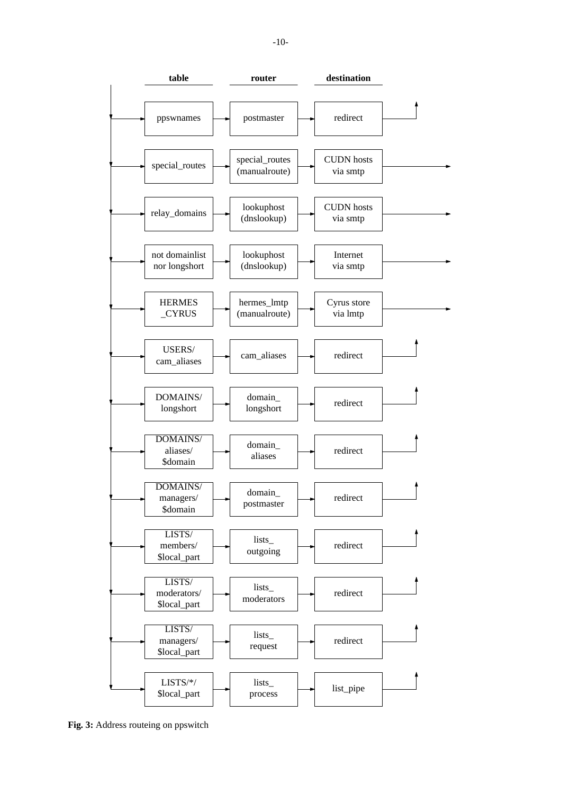

**Fig. 3:** Address routeing on ppswitch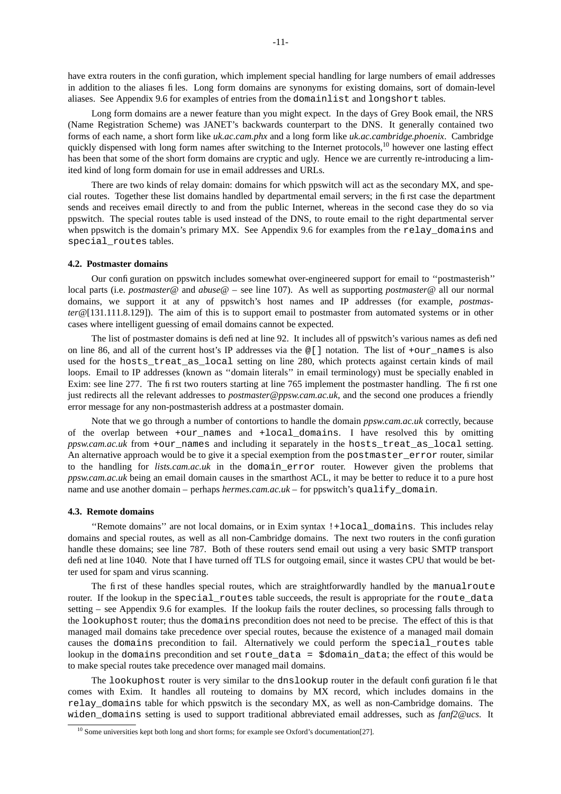have extra routers in the configuration, which implement special handling for large numbers of email addresses in addition to the aliases files. Long form domains are synonyms for existing domains, sort of domain-level aliases. See Appendix 9.6 for examples of entries from the domainlist and longshort tables.

Long form domains are a newer feature than you might expect. In the days of Grey Book email, the NRS (Name Registration Scheme) was JANET's backwards counterpart to the DNS. It generally contained two forms of each name, a short form like *uk.ac.cam.phx* and a long form like *uk.ac.cambridge.phoenix*. Cambridge quickly dispensed with long form names after switching to the Internet protocols,<sup>10</sup> however one lasting effect has been that some of the short form domains are cryptic and ugly. Hence we are currently re-introducing a limited kind of long form domain for use in email addresses and URLs.

There are two kinds of relay domain: domains for which ppswitch will act as the secondary MX, and special routes. Together these list domains handled by departmental email servers; in the first case the department sends and receives email directly to and from the public Internet, whereas in the second case they do so via ppswitch. The special routes table is used instead of the DNS, to route email to the right departmental server when ppswitch is the domain's primary MX. See Appendix 9.6 for examples from the relay\_domains and special\_routes tables.

### **4.2. Postmaster domains**

Our configuration on ppswitch includes somewhat over-engineered support for email to ''postmasterish'' local parts (i.e. *postmaster@* and *abuse@* – see line 107). As well as supporting *postmaster@* all our normal domains, we support it at any of ppswitch's host names and IP addresses (for example, *postmaster@*[131.111.8.129]). The aim of this is to support email to postmaster from automated systems or in other cases where intelligent guessing of email domains cannot be expected.

The list of postmaster domains is defined at line 92. It includes all of ppswitch's various names as defined on line 86, and all of the current host's IP addresses via the @[] notation. The list of +our\_names is also used for the hosts treat as local setting on line 280, which protects against certain kinds of mail loops. Email to IP addresses (known as ''domain literals'' in email terminology) must be specially enabled in Exim: see line 277. The first two routers starting at line 765 implement the postmaster handling. The first one just redirects all the relevant addresses to *postmaster@ppsw.cam.ac.uk*, and the second one produces a friendly error message for any non-postmasterish address at a postmaster domain.

Note that we go through a number of contortions to handle the domain *ppsw.cam.ac.uk* correctly, because of the overlap between +our\_names and +local\_domains. I have resolved this by omitting *ppsw.cam.ac.uk* from +our\_names and including it separately in the hosts\_treat\_as\_local setting. An alternative approach would be to give it a special exemption from the postmaster error router, similar to the handling for *lists.cam.ac.uk* in the domain\_error router. However given the problems that *ppsw.cam.ac.uk* being an email domain causes in the smarthost ACL, it may be better to reduce it to a pure host name and use another domain – perhaps *hermes.cam.ac.uk* – for ppswitch's qualify domain.

## **4.3. Remote domains**

''Remote domains'' are not local domains, or in Exim syntax !+local\_domains. This includes relay domains and special routes, as well as all non-Cambridge domains. The next two routers in the configuration handle these domains; see line 787. Both of these routers send email out using a very basic SMTP transport defined at line 1040. Note that I have turned off TLS for outgoing email, since it wastes CPU that would be better used for spam and virus scanning.

The first of these handles special routes, which are straightforwardly handled by the manualroute router. If the lookup in the special routes table succeeds, the result is appropriate for the route data setting – see Appendix 9.6 for examples. If the lookup fails the router declines, so processing falls through to the lookuphost router; thus the domains precondition does not need to be precise. The effect of this is that managed mail domains take precedence over special routes, because the existence of a managed mail domain causes the domains precondition to fail. Alternatively we could perform the special\_routes table lookup in the domains precondition and set route\_data = \$domain\_data; the effect of this would be to make special routes take precedence over managed mail domains.

The lookuphost router is very similar to the dnslookup router in the default configuration file that comes with Exim. It handles all routeing to domains by MX record, which includes domains in the relay\_domains table for which ppswitch is the secondary MX, as well as non-Cambridge domains. The widen\_domains setting is used to support traditional abbreviated email addresses, such as *fanf2@ucs*. It

<sup>&</sup>lt;sup>10</sup> Some universities kept both long and short forms; for example see Oxford's documentation[27].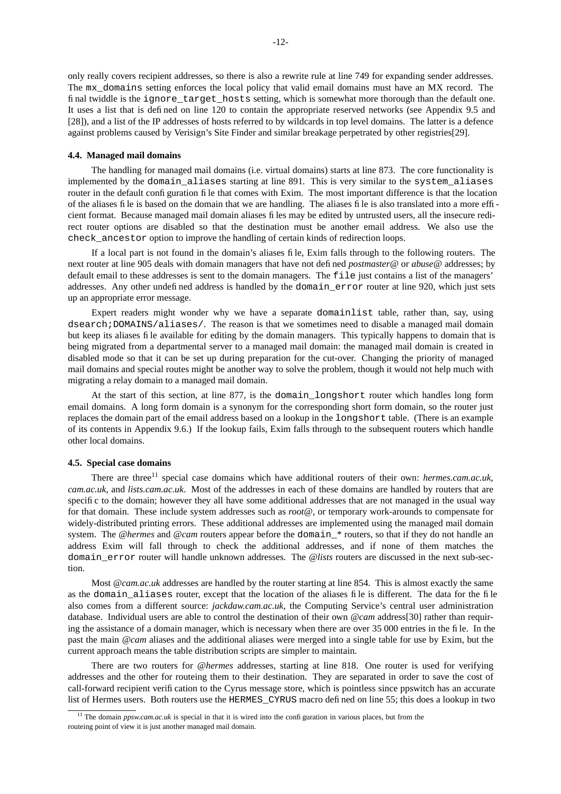only really covers recipient addresses, so there is also a rewrite rule at line 749 for expanding sender addresses. The mx\_domains setting enforces the local policy that valid email domains must have an MX record. The final twiddle is the ignore\_target\_hosts setting, which is somewhat more thorough than the default one. It uses a list that is defined on line 120 to contain the appropriate reserved networks (see Appendix 9.5 and [28]), and a list of the IP addresses of hosts referred to by wildcards in top level domains. The latter is a defence against problems caused by Verisign's Site Finder and similar breakage perpetrated by other registries[29].

### **4.4. Managed mail domains**

The handling for managed mail domains (i.e. virtual domains) starts at line 873. The core functionality is implemented by the domain aliases starting at line 891. This is very similar to the system aliases router in the default configuration file that comes with Exim. The most important difference is that the location of the aliases file is based on the domain that we are handling. The aliases file is also translated into a more efficient format. Because managed mail domain aliases files may be edited by untrusted users, all the insecure redirect router options are disabled so that the destination must be another email address. We also use the check\_ancestor option to improve the handling of certain kinds of redirection loops.

If a local part is not found in the domain's aliases file, Exim falls through to the following routers. The next router at line 905 deals with domain managers that have not defined *postmaster@* or *abuse@* addresses; by default email to these addresses is sent to the domain managers. The file just contains a list of the managers' addresses. Any other undefined address is handled by the domain\_error router at line 920, which just sets up an appropriate error message.

Expert readers might wonder why we have a separate domainlist table, rather than, say, using dsearch;DOMAINS/aliases/. The reason is that we sometimes need to disable a managed mail domain but keep its aliases file available for editing by the domain managers. This typically happens to domain that is being migrated from a departmental server to a managed mail domain: the managed mail domain is created in disabled mode so that it can be set up during preparation for the cut-over. Changing the priority of managed mail domains and special routes might be another way to solve the problem, though it would not help much with migrating a relay domain to a managed mail domain.

At the start of this section, at line 877, is the domain\_longshort router which handles long form email domains. A long form domain is a synonym for the corresponding short form domain, so the router just replaces the domain part of the email address based on a lookup in the longshort table. (There is an example of its contents in Appendix 9.6.) If the lookup fails, Exim falls through to the subsequent routers which handle other local domains.

# **4.5. Special case domains**

There are three<sup>11</sup> special case domains which have additional routers of their own: *hermes.cam.ac.uk*, *cam.ac.uk*, and *lists.cam.ac.uk*. Most of the addresses in each of these domains are handled by routers that are specific to the domain; however they all have some additional addresses that are not managed in the usual way for that domain. These include system addresses such as *root@*, or temporary work-arounds to compensate for widely-distributed printing errors. These additional addresses are implemented using the managed mail domain system. The *@hermes* and *@cam* routers appear before the domain\_\* routers, so that if they do not handle an address Exim will fall through to check the additional addresses, and if none of them matches the domain\_error router will handle unknown addresses. The *@lists* routers are discussed in the next sub-section.

Most *@cam.ac.uk* addresses are handled by the router starting at line 854. This is almost exactly the same as the domain\_aliases router, except that the location of the aliases file is different. The data for the file also comes from a different source: *jackdaw.cam.ac.uk*, the Computing Service's central user administration database. Individual users are able to control the destination of their own *@cam* address[30] rather than requiring the assistance of a domain manager, which is necessary when there are over 35 000 entries in the file. In the past the main *@cam* aliases and the additional aliases were merged into a single table for use by Exim, but the current approach means the table distribution scripts are simpler to maintain.

There are two routers for *@hermes* addresses, starting at line 818. One router is used for verifying addresses and the other for routeing them to their destination. They are separated in order to save the cost of call-forward recipient verification to the Cyrus message store, which is pointless since ppswitch has an accurate list of Hermes users. Both routers use the HERMES\_CYRUS macro defined on line 55; this does a lookup in two

<sup>&</sup>lt;sup>11</sup> The domain *ppsw.cam.ac.uk* is special in that it is wired into the configuration in various places, but from the routeing point of view it is just another managed mail domain.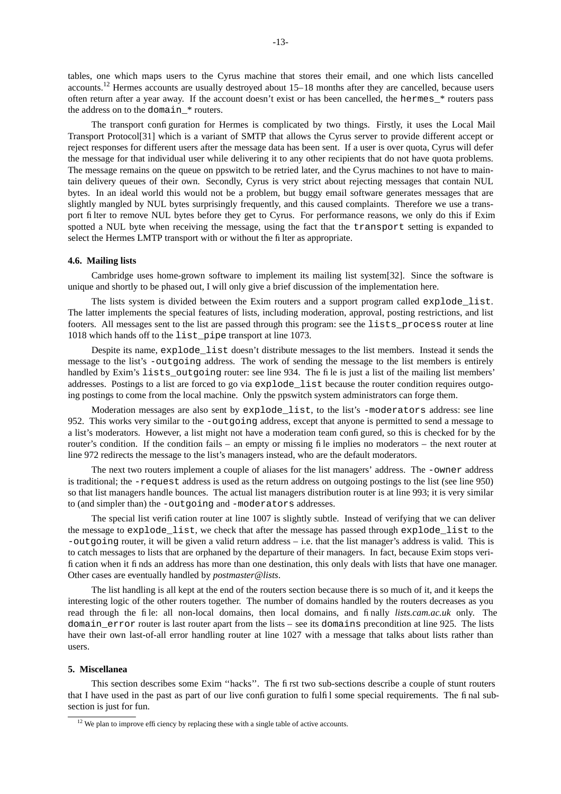tables, one which maps users to the Cyrus machine that stores their email, and one which lists cancelled accounts.<sup>12</sup> Hermes accounts are usually destroyed about 15–18 months after they are cancelled, because users often return after a year away. If the account doesn't exist or has been cancelled, the hermes\_\* routers pass the address on to the domain \* routers.

The transport configuration for Hermes is complicated by two things. Firstly, it uses the Local Mail Transport Protocol[31] which is a variant of SMTP that allows the Cyrus server to provide different accept or reject responses for different users after the message data has been sent. If a user is over quota, Cyrus will defer the message for that individual user while delivering it to any other recipients that do not have quota problems. The message remains on the queue on ppswitch to be retried later, and the Cyrus machines to not have to maintain delivery queues of their own. Secondly, Cyrus is very strict about rejecting messages that contain NUL bytes. In an ideal world this would not be a problem, but buggy email software generates messages that are slightly mangled by NUL bytes surprisingly frequently, and this caused complaints. Therefore we use a transport filter to remove NUL bytes before they get to Cyrus. For performance reasons, we only do this if Exim spotted a NUL byte when receiving the message, using the fact that the transport setting is expanded to select the Hermes LMTP transport with or without the filter as appropriate.

### **4.6. Mailing lists**

Cambridge uses home-grown software to implement its mailing list system[32]. Since the software is unique and shortly to be phased out, I will only give a brief discussion of the implementation here.

The lists system is divided between the Exim routers and a support program called explode\_list. The latter implements the special features of lists, including moderation, approval, posting restrictions, and list footers. All messages sent to the list are passed through this program: see the lists\_process router at line 1018 which hands off to the list\_pipe transport at line 1073.

Despite its name, explode list doesn't distribute messages to the list members. Instead it sends the message to the list's -outgoing address. The work of sending the message to the list members is entirely handled by Exim's lists outgoing router: see line 934. The file is just a list of the mailing list members' addresses. Postings to a list are forced to go via explode\_list because the router condition requires outgoing postings to come from the local machine. Only the ppswitch system administrators can forge them.

Moderation messages are also sent by explode\_list, to the list's -moderators address: see line 952. This works very similar to the -outgoing address, except that anyone is permitted to send a message to a list's moderators. However, a list might not have a moderation team configured, so this is checked for by the router's condition. If the condition fails – an empty or missing file implies no moderators – the next router at line 972 redirects the message to the list's managers instead, who are the default moderators.

The next two routers implement a couple of aliases for the list managers' address. The -owner address is traditional; the -request address is used as the return address on outgoing postings to the list (see line 950) so that list managers handle bounces. The actual list managers distribution router is at line 993; it is very similar to (and simpler than) the -outgoing and -moderators addresses.

The special list verification router at line 1007 is slightly subtle. Instead of verifying that we can deliver the message to explode\_list, we check that after the message has passed through explode\_list to the -outgoing router, it will be given a valid return address – i.e. that the list manager's address is valid. This is to catch messages to lists that are orphaned by the departure of their managers. In fact, because Exim stops verification when it finds an address has more than one destination, this only deals with lists that have one manager. Other cases are eventually handled by *postmaster@lists*.

The list handling is all kept at the end of the routers section because there is so much of it, and it keeps the interesting logic of the other routers together. The number of domains handled by the routers decreases as you read through the file: all non-local domains, then local domains, and finally *lists.cam.ac.uk* only. The domain\_error router is last router apart from the lists – see its domains precondition at line 925. The lists have their own last-of-all error handling router at line 1027 with a message that talks about lists rather than users.

### **5. Miscellanea**

This section describes some Exim ''hacks''. The first two sub-sections describe a couple of stunt routers that I have used in the past as part of our live configuration to fulfil some special requirements. The final subsection is just for fun.

<sup>&</sup>lt;sup>12</sup> We plan to improve efficiency by replacing these with a single table of active accounts.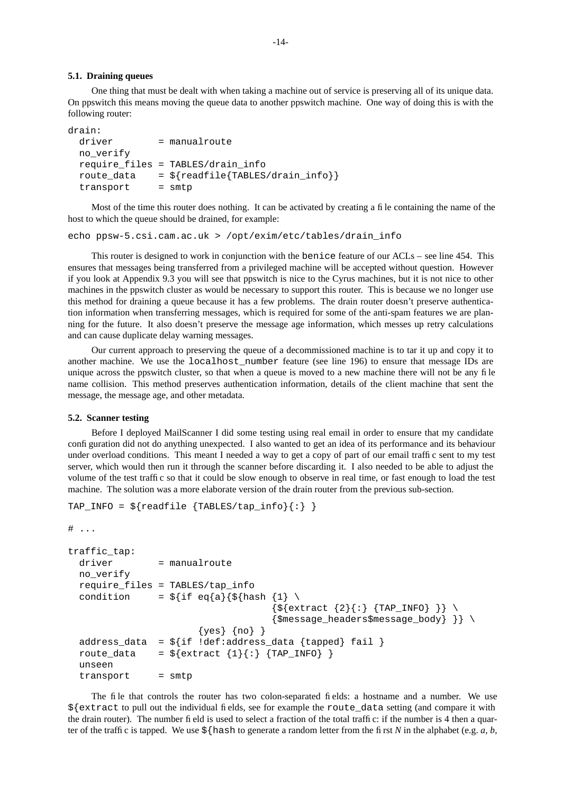### **5.1. Draining queues**

One thing that must be dealt with when taking a machine out of service is preserving all of its unique data. On ppswitch this means moving the queue data to another ppswitch machine. One way of doing this is with the following router:

```
drain:
  driver = manualroute
  no_verify
  require_files = TABLES/drain_info
  route_data = \frac{2}{\pi} = \frac{2}{\pi} readfile {TABLES/drain_info}}
  transport = smtp
```
Most of the time this router does nothing. It can be activated by creating a file containing the name of the host to which the queue should be drained, for example:

echo ppsw-5.csi.cam.ac.uk > /opt/exim/etc/tables/drain\_info

This router is designed to work in conjunction with the benice feature of our ACLs – see line 454. This ensures that messages being transferred from a privileged machine will be accepted without question. However if you look at Appendix 9.3 you will see that ppswitch is nice to the Cyrus machines, but it is not nice to other machines in the ppswitch cluster as would be necessary to support this router. This is because we no longer use this method for draining a queue because it has a few problems. The drain router doesn't preserve authentication information when transferring messages, which is required for some of the anti-spam features we are planning for the future. It also doesn't preserve the message age information, which messes up retry calculations and can cause duplicate delay warning messages.

Our current approach to preserving the queue of a decommissioned machine is to tar it up and copy it to another machine. We use the localhost number feature (see line 196) to ensure that message IDs are unique across the ppswitch cluster, so that when a queue is moved to a new machine there will not be any file name collision. This method preserves authentication information, details of the client machine that sent the message, the message age, and other metadata.

### **5.2. Scanner testing**

Before I deployed MailScanner I did some testing using real email in order to ensure that my candidate configuration did not do anything unexpected. I also wanted to get an idea of its performance and its behaviour under overload conditions. This meant I needed a way to get a copy of part of our email traffic sent to my test server, which would then run it through the scanner before discarding it. I also needed to be able to adjust the volume of the test traffic so that it could be slow enough to observe in real time, or fast enough to load the test machine. The solution was a more elaborate version of the drain router from the previous sub-section.

```
TAP_INFO = \frac{2}{3} readfile {TABLES/tap_info}{:} }
```

```
# ...
```

```
traffic_tap:
  driver = manualroute
  no_verify
  require_files = TABLES/tap_info
  condition = \frac{1}{2} = \frac{1}{2} = \frac{1}{2}{\s \{ \text{extract } \{2\} \} : \{ \text{TAP\_INFO} \} } \{\mathfrak{S}message} headers\mathfrak{S}message} body}{\mathfrak{S}message}{yes} {no} }
  address_data = \frac{1}{2}[if !def:address_data {tapped} fail }
  route_data = \frac{2}{3} {extract \{1\} {: } {TAP_INFO} }
  unseen
  transport = smtp
```
The file that controls the router has two colon-separated fields: a hostname and a number. We use \${extract to pull out the individual fields, see for example the route\_data setting (and compare it with the drain router). The number field is used to select a fraction of the total traffic: if the number is 4 then a quarter of the traffic is tapped. We use  $\frac{1}{2}$  hash to generate a random letter from the first *N* in the alphabet (e.g. *a, b,*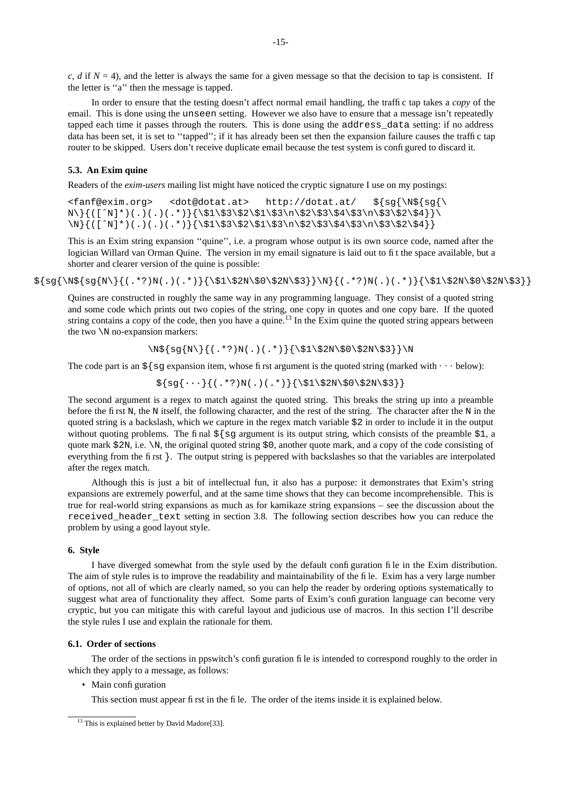$c, d$  if  $N = 4$ ), and the letter is always the same for a given message so that the decision to tap is consistent. If the letter is ''a'' then the message is tapped.

In order to ensure that the testing doesn't affect normal email handling, the traffic tap takes a *copy* of the email. This is done using the unseen setting. However we also have to ensure that a message isn't repeatedly tapped each time it passes through the routers. This is done using the address\_data setting: if no address data has been set, it is set to "tapped"; if it has already been set then the expansion failure causes the traffic tap router to be skipped. Users don't receive duplicate email because the test system is configured to discard it.

### **5.3. An Exim quine**

Readers of the *exim-users* mailing list might have noticed the cryptic signature I use on my postings:

```
<fanf@exim.org> <dot@dotat.at> http://dotat.at/ ${sg{\N${sg{\
N\{\{([^N]^*) ( .) ( .) ( .*)\} {\S1\$3\$2\$1\$3\n\$2\$4\$3\n\$3\$2\$4}\}\N{([^N]*)(.)(.)(.*)}{\$1\$3\$2\$1\$3\n\$2\$3\$4\$3\n\$3\$2\$4}}
```
This is an Exim string expansion ''quine'', i.e. a program whose output is its own source code, named after the logician Willard van Orman Quine. The version in my email signature is laid out to fit the space available, but a shorter and clearer version of the quine is possible:

 ${\sg{\N}{('.*,?)N(.),'.*,'}{\$1\$2N\$0\$2N\$3}}\N{(.',*')N(.),'.*,'}$ 

Quines are constructed in roughly the same way in any programming language. They consist of a quoted string and some code which prints out two copies of the string, one copy in quotes and one copy bare. If the quoted string contains a copy of the code, then you have a quine.<sup>13</sup> In the Exim quine the quoted string appears between the two \N no-expansion markers:

\N\${sg{N\}{(.\*?)N(.)(.\*)}{\\$1\\$2N\\$0\\$2N\\$3}}\N

The code part is an  $\frac{1}{5}$  (sg expansion item, whose first argument is the quoted string (marked with  $\cdots$  below):

 $\{sg\{\cdots\}((.*)N(.)(.*)\}\{\2N\$2N\$0\$2N\$3\}$ 

The second argument is a regex to match against the quoted string. This breaks the string up into a preamble before the first N, the N itself, the following character, and the rest of the string. The character after the N in the quoted string is a backslash, which we capture in the regex match variable \$2 in order to include it in the output without quoting problems. The final  $\frac{5}{5}$  sg argument is its output string, which consists of the preamble  $\frac{51}{4}$ , a quote mark  $$2N$ , i.e. \N, the original quoted string  $$0$ , another quote mark, and a copy of the code consisting of everything from the first }. The output string is peppered with backslashes so that the variables are interpolated after the regex match.

Although this is just a bit of intellectual fun, it also has a purpose: it demonstrates that Exim's string expansions are extremely powerful, and at the same time shows that they can become incomprehensible. This is true for real-world string expansions as much as for kamikaze string expansions – see the discussion about the received\_header\_text setting in section 3.8. The following section describes how you can reduce the problem by using a good layout style.

# **6. Style**

I have diverged somewhat from the style used by the default configuration file in the Exim distribution. The aim of style rules is to improve the readability and maintainability of the file. Exim has a very large number of options, not all of which are clearly named, so you can help the reader by ordering options systematically to suggest what area of functionality they affect. Some parts of Exim's configuration language can become very cryptic, but you can mitigate this with careful layout and judicious use of macros. In this section I'll describe the style rules I use and explain the rationale for them.

# **6.1. Order of sections**

The order of the sections in ppswitch's configuration file is intended to correspond roughly to the order in which they apply to a message, as follows:

• Main configuration

This section must appear first in the file. The order of the items inside it is explained below.

<sup>&</sup>lt;sup>13</sup> This is explained better by David Madore[33].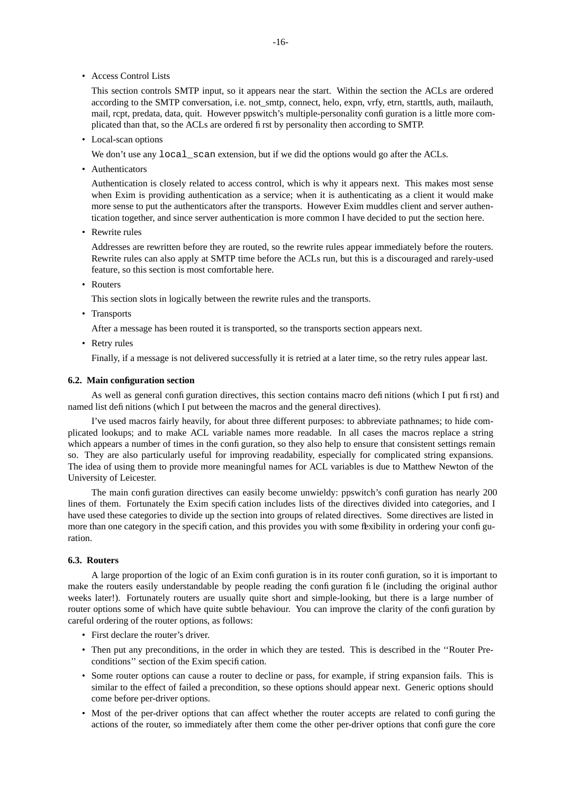• Access Control Lists

This section controls SMTP input, so it appears near the start. Within the section the ACLs are ordered according to the SMTP conversation, i.e. not\_smtp, connect, helo, expn, vrfy, etrn, starttls, auth, mailauth, mail, rcpt, predata, data, quit. However ppswitch's multiple-personality configuration is a little more complicated than that, so the ACLs are ordered first by personality then according to SMTP.

• Local-scan options

We don't use any  $local\_scan$  extension, but if we did the options would go after the ACLs.

• Authenticators

Authentication is closely related to access control, which is why it appears next. This makes most sense when Exim is providing authentication as a service; when it is authenticating as a client it would make more sense to put the authenticators after the transports. However Exim muddles client and server authentication together, and since server authentication is more common I have decided to put the section here.

• Rewrite rules

Addresses are rewritten before they are routed, so the rewrite rules appear immediately before the routers. Rewrite rules can also apply at SMTP time before the ACLs run, but this is a discouraged and rarely-used feature, so this section is most comfortable here.

• Routers

This section slots in logically between the rewrite rules and the transports.

• Transports

After a message has been routed it is transported, so the transports section appears next.

• Retry rules

Finally, if a message is not delivered successfully it is retried at a later time, so the retry rules appear last.

### **6.2. Main configuration section**

As well as general configuration directives, this section contains macro definitions (which I put first) and named list definitions (which I put between the macros and the general directives).

I've used macros fairly heavily, for about three different purposes: to abbreviate pathnames; to hide complicated lookups; and to make ACL variable names more readable. In all cases the macros replace a string which appears a number of times in the configuration, so they also help to ensure that consistent settings remain so. They are also particularly useful for improving readability, especially for complicated string expansions. The idea of using them to provide more meaningful names for ACL variables is due to Matthew Newton of the University of Leicester.

The main configuration directives can easily become unwieldy: ppswitch's configuration has nearly 200 lines of them. Fortunately the Exim specification includes lists of the directives divided into categories, and I have used these categories to divide up the section into groups of related directives. Some directives are listed in more than one category in the specification, and this provides you with some flexibility in ordering your configuration.

## **6.3. Routers**

A large proportion of the logic of an Exim configuration is in its router configuration, so it is important to make the routers easily understandable by people reading the configuration file (including the original author weeks later!). Fortunately routers are usually quite short and simple-looking, but there is a large number of router options some of which have quite subtle behaviour. You can improve the clarity of the configuration by careful ordering of the router options, as follows:

- First declare the router's driver.
- Then put any preconditions, in the order in which they are tested. This is described in the ''Router Preconditions'' section of the Exim specification.
- Some router options can cause a router to decline or pass, for example, if string expansion fails. This is similar to the effect of failed a precondition, so these options should appear next. Generic options should come before per-driver options.
- Most of the per-driver options that can affect whether the router accepts are related to configuring the actions of the router, so immediately after them come the other per-driver options that configure the core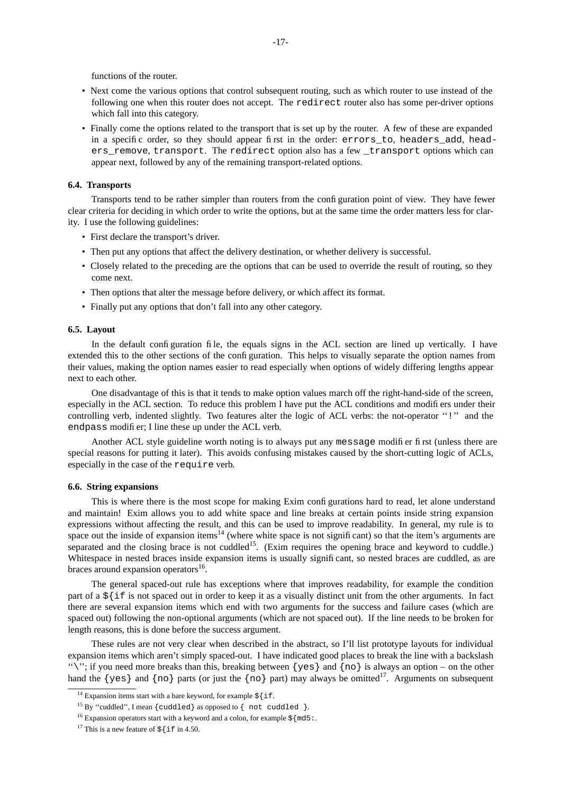functions of the router.

- Next come the various options that control subsequent routing, such as which router to use instead of the following one when this router does not accept. The redirect router also has some per-driver options which fall into this category.
- Finally come the options related to the transport that is set up by the router. A few of these are expanded in a specific order, so they should appear first in the order: errors\_to, headers\_add, headers remove, transport. The redirect option also has a few transport options which can appear next, followed by any of the remaining transport-related options.

### **6.4. Transports**

Transports tend to be rather simpler than routers from the configuration point of view. They have fewer clear criteria for deciding in which order to write the options, but at the same time the order matters less for clarity. I use the following guidelines:

- First declare the transport's driver.
- Then put any options that affect the delivery destination, or whether delivery is successful.
- Closely related to the preceding are the options that can be used to override the result of routing, so they come next.
- Then options that alter the message before delivery, or which affect its format.
- Finally put any options that don't fall into any other category.

### **6.5. Layout**

In the default configuration file, the equals signs in the ACL section are lined up vertically. I have extended this to the other sections of the configuration. This helps to visually separate the option names from their values, making the option names easier to read especially when options of widely differing lengths appear next to each other.

One disadvantage of this is that it tends to make option values march off the right-hand-side of the screen, especially in the ACL section. To reduce this problem I have put the ACL conditions and modifiers under their controlling verb, indented slightly. Two features alter the logic of ACL verbs: the not-operator ''!'' and the endpass modifier; I line these up under the ACL verb.

Another ACL style guideline worth noting is to always put any message modifier first (unless there are special reasons for putting it later). This avoids confusing mistakes caused by the short-cutting logic of ACLs, especially in the case of the require verb.

## **6.6. String expansions**

This is where there is the most scope for making Exim configurations hard to read, let alone understand and maintain! Exim allows you to add white space and line breaks at certain points inside string expansion expressions without affecting the result, and this can be used to improve readability. In general, my rule is to space out the inside of expansion items<sup>14</sup> (where white space is not significant) so that the item's arguments are separated and the closing brace is not cuddled<sup>15</sup>. (Exim requires the opening brace and keyword to cuddle.) Whitespace in nested braces inside expansion items is usually significant, so nested braces are cuddled, as are braces around expansion operators<sup>16</sup>.

The general spaced-out rule has exceptions where that improves readability, for example the condition part of a  $\frac{1}{2}$  if is not spaced out in order to keep it as a visually distinct unit from the other arguments. In fact there are several expansion items which end with two arguments for the success and failure cases (which are spaced out) following the non-optional arguments (which are not spaced out). If the line needs to be broken for length reasons, this is done before the success argument.

These rules are not very clear when described in the abstract, so I'll list prototype layouts for individual expansion items which aren't simply spaced-out. I have indicated good places to break the line with a backslash "\"; if you need more breaks than this, breaking between  $\{yes\}$  and  $\{no\}$  is always an option – on the other hand the  $\{yes\}$  and  $\{no\}$  parts (or just the  $\{no\}$  part) may always be omitted<sup>17</sup>. Arguments on subsequent

<sup>&</sup>lt;sup>14</sup> Expansion items start with a bare keyword, for example  $\frac{1}{2}$  [if.

<sup>&</sup>lt;sup>15</sup> By "cuddled", I mean {cuddled} as opposed to { not cuddled }.

<sup>&</sup>lt;sup>16</sup> Expansion operators start with a keyword and a colon, for example  $\frac{1}{5}$  {md5:.

<sup>&</sup>lt;sup>17</sup> This is a new feature of  $\frac{1}{5}$  {if in 4.50.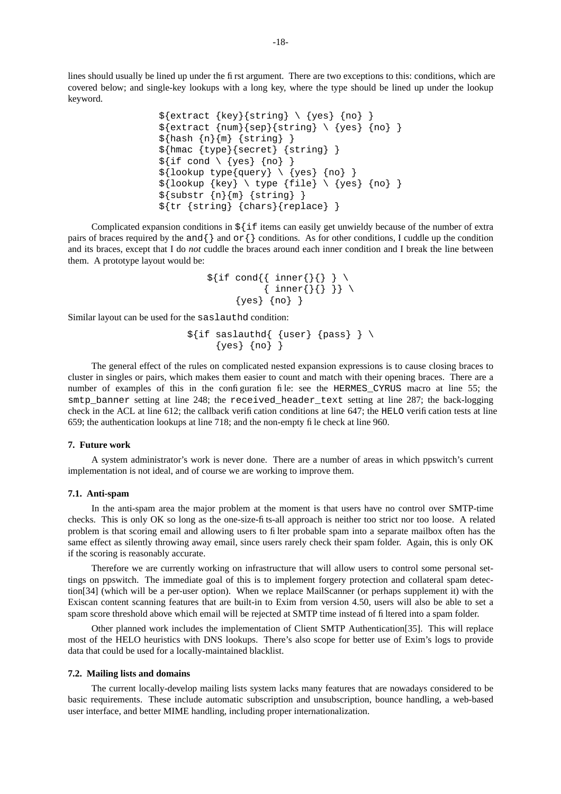lines should usually be lined up under the first argument. There are two exceptions to this: conditions, which are covered below; and single-key lookups with a long key, where the type should be lined up under the lookup keyword.

```
${extract} {key}{string} \ \{yes\} {no} \}${extract {num}{sep}{string} \ \{ \} \} \${hash _{n}{m} {s} {string} }
${hmac {type}{secret} {string} }
$ \{ \text{if cond} \setminus \{ \text{yes} \} \} \}${loop type{query} \ \{yes\} \ \{no\} }\${loop {key} \setminus type {file} \setminus {yes} {no} \}${substr {n}{m} {string} }
${tr {string} {chars}{replace} }
```
Complicated expansion conditions in  $\frac{1}{2}$  if items can easily get unwieldy because of the number of extra pairs of braces required by the and  $\{\}$  and or  $\{\}$  conditions. As for other conditions, I cuddle up the condition and its braces, except that I do *not* cuddle the braces around each inner condition and I break the line between them. A prototype layout would be:

$$
\begin{array}{c}\n\text{Set}\n\text{if } \text{cond} \{\text{ inner} \{\} \} \} \ \setminus \ \{\text{ inner} \{\} \} \} \ \setminus \ \{\text{yes} \} \ \{\text{no} \} \}\n\end{array}
$$

Similar layout can be used for the saslauthd condition:

```
$ \{ \text{if} \text{ sslauthd} \{ \text{[user} \} \} \} \\{yes\} \{no\} }
```
The general effect of the rules on complicated nested expansion expressions is to cause closing braces to cluster in singles or pairs, which makes them easier to count and match with their opening braces. There are a number of examples of this in the configuration file: see the HERMES CYRUS macro at line 55; the smtp banner setting at line 248; the received header text setting at line 287; the back-logging check in the ACL at line 612; the callback verification conditions at line 647; the HELO verification tests at line 659; the authentication lookups at line 718; and the non-empty file check at line 960.

### **7. Future work**

A system administrator's work is never done. There are a number of areas in which ppswitch's current implementation is not ideal, and of course we are working to improve them.

## **7.1. Anti-spam**

In the anti-spam area the major problem at the moment is that users have no control over SMTP-time checks. This is only OK so long as the one-size-fits-all approach is neither too strict nor too loose. A related problem is that scoring email and allowing users to filter probable spam into a separate mailbox often has the same effect as silently throwing away email, since users rarely check their spam folder. Again, this is only OK if the scoring is reasonably accurate.

Therefore we are currently working on infrastructure that will allow users to control some personal settings on ppswitch. The immediate goal of this is to implement forgery protection and collateral spam detection[34] (which will be a per-user option). When we replace MailScanner (or perhaps supplement it) with the Exiscan content scanning features that are built-in to Exim from version 4.50, users will also be able to set a spam score threshold above which email will be rejected at SMTP time instead of filtered into a spam folder.

Other planned work includes the implementation of Client SMTP Authentication[35]. This will replace most of the HELO heuristics with DNS lookups. There's also scope for better use of Exim's logs to provide data that could be used for a locally-maintained blacklist.

### **7.2. Mailing lists and domains**

The current locally-develop mailing lists system lacks many features that are nowadays considered to be basic requirements. These include automatic subscription and unsubscription, bounce handling, a web-based user interface, and better MIME handling, including proper internationalization.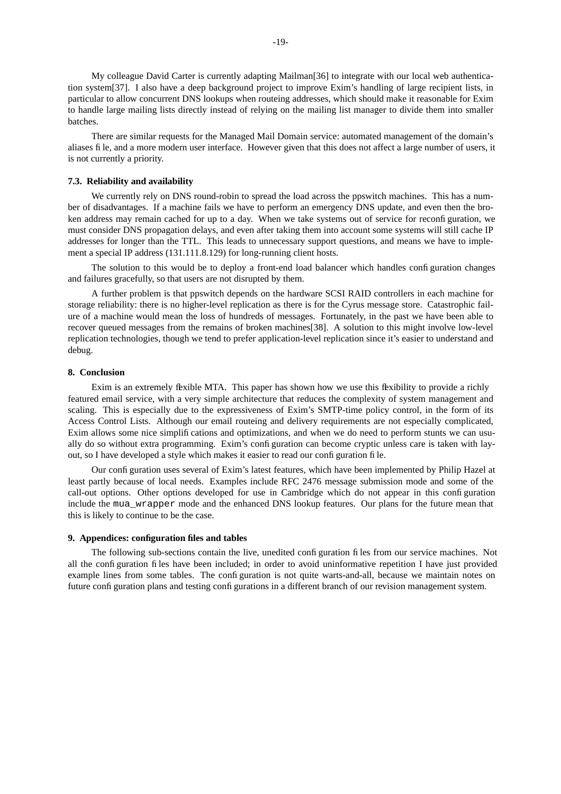My colleague David Carter is currently adapting Mailman[36] to integrate with our local web authentication system[37]. I also have a deep background project to improve Exim's handling of large recipient lists, in particular to allow concurrent DNS lookups when routeing addresses, which should make it reasonable for Exim to handle large mailing lists directly instead of relying on the mailing list manager to divide them into smaller batches.

There are similar requests for the Managed Mail Domain service: automated management of the domain's aliases file, and a more modern user interface. However given that this does not affect a large number of users, it is not currently a priority.

### **7.3. Reliability and availability**

We currently rely on DNS round-robin to spread the load across the ppswitch machines. This has a number of disadvantages. If a machine fails we have to perform an emergency DNS update, and even then the broken address may remain cached for up to a day. When we take systems out of service for reconfiguration, we must consider DNS propagation delays, and even after taking them into account some systems will still cache IP addresses for longer than the TTL. This leads to unnecessary support questions, and means we have to implement a special IP address (131.111.8.129) for long-running client hosts.

The solution to this would be to deploy a front-end load balancer which handles configuration changes and failures gracefully, so that users are not disrupted by them.

A further problem is that ppswitch depends on the hardware SCSI RAID controllers in each machine for storage reliability: there is no higher-level replication as there is for the Cyrus message store. Catastrophic failure of a machine would mean the loss of hundreds of messages. Fortunately, in the past we have been able to recover queued messages from the remains of broken machines[38]. A solution to this might involve low-level replication technologies, though we tend to prefer application-level replication since it's easier to understand and debug.

### **8. Conclusion**

Exim is an extremely flexible MTA. This paper has shown how we use this flexibility to provide a richly featured email service, with a very simple architecture that reduces the complexity of system management and scaling. This is especially due to the expressiveness of Exim's SMTP-time policy control, in the form of its Access Control Lists. Although our email routeing and delivery requirements are not especially complicated, Exim allows some nice simplifications and optimizations, and when we do need to perform stunts we can usually do so without extra programming. Exim's configuration can become cryptic unless care is taken with layout, so I have dev eloped a style which makes it easier to read our configuration file.

Our configuration uses several of Exim's latest features, which have been implemented by Philip Hazel at least partly because of local needs. Examples include RFC 2476 message submission mode and some of the call-out options. Other options developed for use in Cambridge which do not appear in this configuration include the mua\_wrapper mode and the enhanced DNS lookup features. Our plans for the future mean that this is likely to continue to be the case.

## **9. Appendices: configuration files and tables**

The following sub-sections contain the live, unedited configuration files from our service machines. Not all the configuration files have been included; in order to avoid uninformative repetition I have just provided example lines from some tables. The configuration is not quite warts-and-all, because we maintain notes on future configuration plans and testing configurations in a different branch of our revision management system.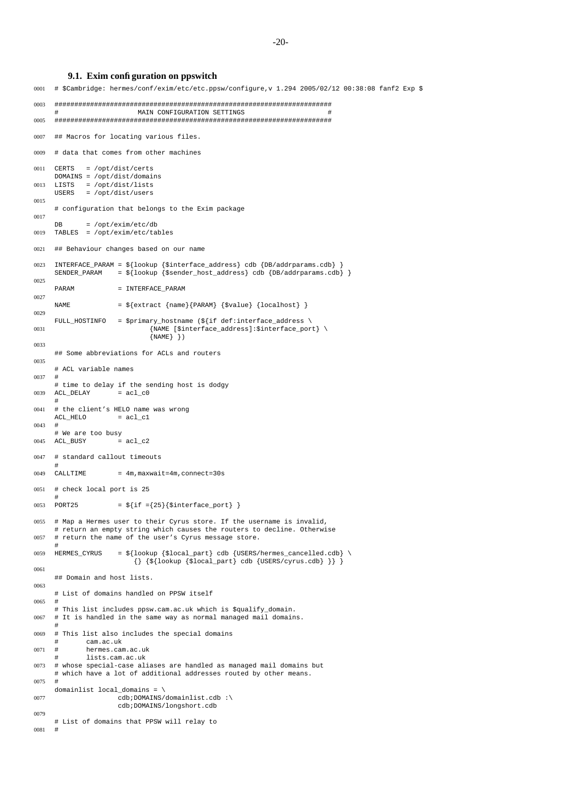-20-

## **9.1. Exim configuration on ppswitch**

0001 # \$Cambridge: hermes/conf/exim/etc/etc.ppsw/configure,v 1.294 2005/02/12 00:38:08 fanf2 Exp \$ 0003 ###################################################################### MAIN CONFIGURATION SETTINGS 0005 ###################################################################### 0007 ## Macros for locating various files. 0009 # data that comes from other machines 0011 CERTS = /opt/dist/certs  $DOMAINS = /opt/dist/domains$ <br> $LISTS = /ont/dist/lists$ 0013 LISTS = /opt/dist/lists USERS = /opt/dist/users 0015 # configuration that belongs to the Exim package 0017 DB = /opt/exim/etc/db 0019 TABLES = /opt/exim/etc/tables 0021 ## Behaviour changes based on our name 0023 INTERFACE\_PARAM =  $$$ {lookup {\$interface\_address} cdb {DB/addrparams.cdb} <br>SENDER\_PARAM =  $$$ {lookup {\$sender\_host\_address} cdb {DB/addrparams.cd  $S = \frac{1}{2} \left\{ \text{lookup} \left\{ \text{Ssender\_host\_address} \right\} \text{ cdb} \left\{ \text{DB/address} \right\} \right\}$ 0025 PARAM = INTERFACE\_PARAM 0027 NAME  $=$   $\{extract \{name\} \{PARAM\} \{\$value\} \{localhost\} \}$ 0029 FULL HOSTINFO = \$primary hostname (\${if def:interface address \ 0031 The state of the state of the state of the state of the state of the state of the state of the state of t  $\{NAME\}$  } ) 0033 ## Some abbreviations for ACLs and routers 0035 # ACL variable names 0037 # # time to delay if the sending host is dodgy  $0039$  ACL DELAY = acl c0 # 0041 # the client's HELO name was wrong  $ACL$  HELO =  $acl$  c1  $0043 +$ # We are too busy  $0045$  ACL BUSY = acl\_c2 0047 # standard callout timeouts  $CATJ.TTMR$  $0.049$  CALLTIME =  $4$ m, maxwait=4m, connect=30s 0051 # check local port is 25 # 0053 PORT25 =  $\{if = {25}\}$  $[interface$ 0055 # Map a Hermes user to their Cyrus store. If the username is invalid, # return an empty string which causes the routers to decline. Otherwise 0057 # return the name of the user's Cyrus message store. # 0059 HERMES CYRUS =  $$$ {lookup {\$local part} cdb {USERS/hermes cancelled.cdb} \  $\{\}$  {\$ $\{100 \text{kup} \}$  {\$local\_part} cdb {USERS/cyrus.cdb} }} } 0061 ## Domain and host lists. 0063 # List of domains handled on PPSW itself  $0065 +$ # This list includes ppsw.cam.ac.uk which is \$qualify\_domain. 0067 # It is handled in the same way as normal managed mail domains. # 0069 # This list also includes the special domains cam.ac.uk  $0071 \pm$  hermes cam ac uk lists.cam.ac.uk 0073 # whose special-case aliases are handled as managed mail domains but # which have a lot of additional addresses routed by other means.  $0075 +$ domainlist local\_domains = \ 0077 cdb;DOMAINS/domainlist.cdb :\ cdb;DOMAINS/longshort.cdb 0079 # List of domains that PPSW will relay to 0081 #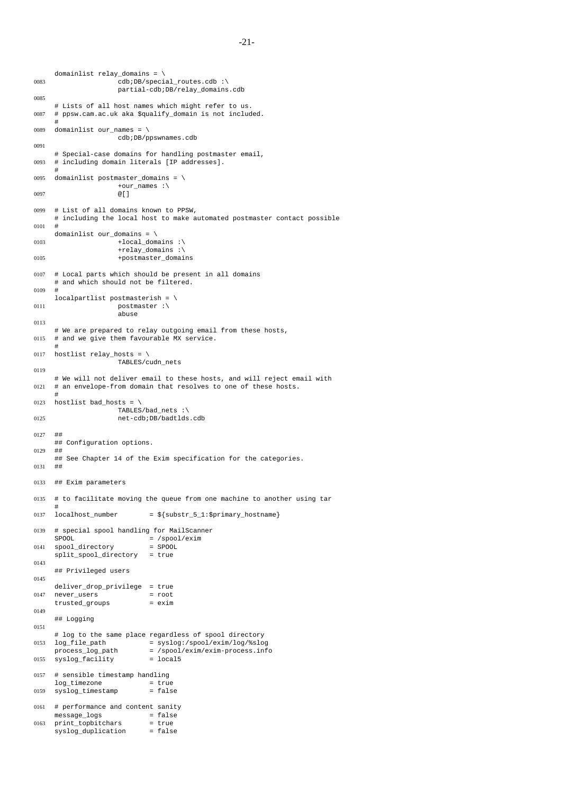```
domainlist relay_domains = \
0083 cdb;DB/special_routes.cdb :\
                     partial-cdb;DB/relay_domains.cdb
0085
     # Lists of all host names which might refer to us.
0087 # ppsw.cam.ac.uk aka $qualify_domain is not included.
     #
0089 domainlist our_names = \setminuscdb;DB/ppswnames.cdb
0091
     # Special-case domains for handling postmaster email,
0093 # including domain literals [IP addresses].
     #
0095 domainlist postmaster domains = \sqrt{ }+our_names :\
0097 @[]
0099 # List of all domains known to PPSW,
     # including the local host to make automated postmaster contact possible
0101 #
     domainlist our_domains = \
0103 +local domains :\
                     +relay_domains :\
0105 +postmaster domains
0107 # Local parts which should be present in all domains
     # and which should not be filtered.
0109 #
     localpartlist postmasterish = \setminus0111 postmaster :\
                     abuse
0113
     # We are prepared to relay outgoing email from these hosts,
0115 # and we give them favourable MX service.
     #
0117 hostlist relay_hosts = \setminusTABLES/cudn_nets
0119
     # We will not deliver email to these hosts, and will reject email with
0121 # an envelope-from domain that resolves to one of these hosts.
     #
0123 hostlist bad_hosts = \
                     TABLES/bad_nets :\
0125 net-cdb;DB/badtlds.cdb
0127 ##
     ## Configuration options.
0129
     ## See Chapter 14 of the Exim specification for the categories.
0131 + #0133 ## Exim parameters
0135 # to facilitate moving the queue from one machine to another using tar
     #
0137 localhost\_number = \S{\substack{\text{substr\_5\_1:\$primary\_hostname}}0139 # special spool handling for MailScanner
     SPOOL = /spool/exim<br>= /spool/exim<br>= spool
0141 spool directory
     split_spool_directory = true
0143
     ## Privileged users
0145
     deliver_drop_privilege = true<br>never users = root
0147 never_users = root
     trusted\_groups0149
     ## Logging
0151
     # log to the same place regardless of spool directory<br>log_file_path = syslog:/spool/exim/log/%slo
0153 log_file_path = syslog:/spool/exim/log/%slog
     process_log_path = /spool/exim/exim-process.info
0155 syslog_facility = local5
0157 # sensible timestamp handling
     log_timezone = true<br>syslog_timestamp = false
0159 syslog_timestamp0161 # performance and content sanity<br>message_logs = false
     message_logs
0163 print_topbitchars = true
     syslog duplication = false
```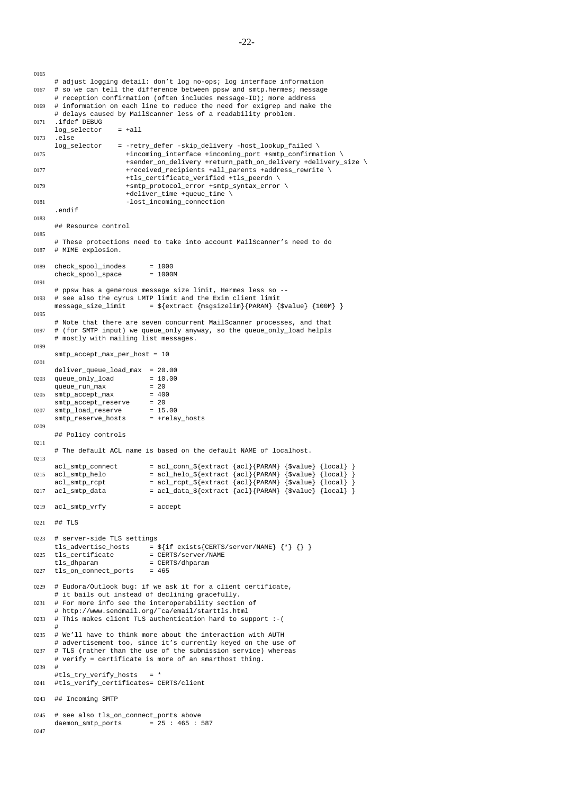```
0165
     # adjust logging detail: don't log no-ops; log interface information
0167 # so we can tell the difference between ppsw and smtp.hermes; message
     # reception confirmation (often includes message-ID); more address
0169 # information on each line to reduce the need for exigrep and make the
     # delays caused by MailScanner less of a readability problem.
0171 .ifdef DEBUG
     log_selector = +all
0173 .else
     log_selector = -retry_defer -skip_delivery -host_lookup_failed \
0175 +incoming interface +incoming port +smtp confirmation \
                        +sender on delivery +return path on delivery +delivery size \
0177 +{\tt received\_recipients} +all_parents +address_rewrite \
                        +tls_certificate_verified +tls_peerdn \
0179 +smtp protocol error +smtp syntax error \
                        +deliver time +queue time \
0181 -lost_incoming_connection
      .endif
0183
     ## Resource control
0185
     # These protections need to take into account MailScanner's need to do
0187 # MIME explosion.
0189 check_spool_inodes = 1000
     check_spool_space = 1000M
0191
     # ppsw has a generous message size limit, Hermes less so --
0193 # see also the cyrus LMTP limit and the Exim client limit<br>message_size_limit = \frac{2}{\pi} = \frac{2}{\pi} = \frac{2}{\pi}= ${extract {msgsizedim}{PARAM} {$value} {100M} }0195
     # Note that there are seven concurrent MailScanner processes, and that
0197 # (for SMTP input) we queue_only anyway, so the queue_only_load helpls
     # mostly with mailing list messages.
0199
     smtp_accept_max_per_host = 10
0201
     deliver_queue_load_max = 20.00
0203 queue_only_load = 10<br>queue run max = 20
     queue_run_max
0205 \text{sntp\_accept\_max} = 400<br>
\text{sntr}_{\text{p}} accept reserve = 20
     smtp_accept_reserve = 20<br>smtp_load_reserve = 15.00
0207 \text{sntp\_load\_reserve} = 15.00<br>\text{sntp\_reserve\_hosts} = \text{+relay\_hosts}smtp_reserve_hosts
0209
     ## Policy controls
0211
     # The default ACL name is based on the default NAME of localhost.
0213
     acl smtp connect = acl conn ${extract {ac1}}{PARAM} {svalue} {local}0215 acl_smtp_belo = acl_helo_${extract {acl}{PARAM} {$value} {local} }
      acl_smtp_rcpt = acl_rcpt_${extract {acl}{PARAM} {$value} {local} }
0217 acl_smtp_data = acl_data_${extract {acl}{PARAM} {$value} {local} }
0219 acl_smtp_vrfy = accept
0221 ## TLS
0223 # server-side TLS settings
     tls_advertise_hosts = \sqrt[5]{if exists{{\text{CERTS}}}{server}/{\text{NAME}}} {\{\})}
0225 tls_certificate = CERTS/server/NAME
     tls_dhparam = CERTS/dhparam<br>tls_on_connect_ports = 465
0227 tls_on_connect_ports
0229 # Eudora/Outlook bug: if we ask it for a client certificate,
     # it bails out instead of declining gracefully.
0231 # For more info see the interoperability section of
     # http://www.sendmail.org/˜ca/email/starttls.html
0233 # This makes client TLS authentication hard to support :-(
      #
0235 # We'll have to think more about the interaction with AUTH
     # advertisement too, since it's currently keyed on the use of
0237 # TLS (rather than the use of the submission service) whereas
     # verify = certificate is more of an smarthost thing.
0239
     #tls_try_verify_hosts = *
0241 #tls_verify_certificates= CERTS/client
0243 ## Incoming SMTP
0245 # see also tls_on_connect_ports above
     daemon\_smtp\_ports = 25 : 465 : 587
0247
```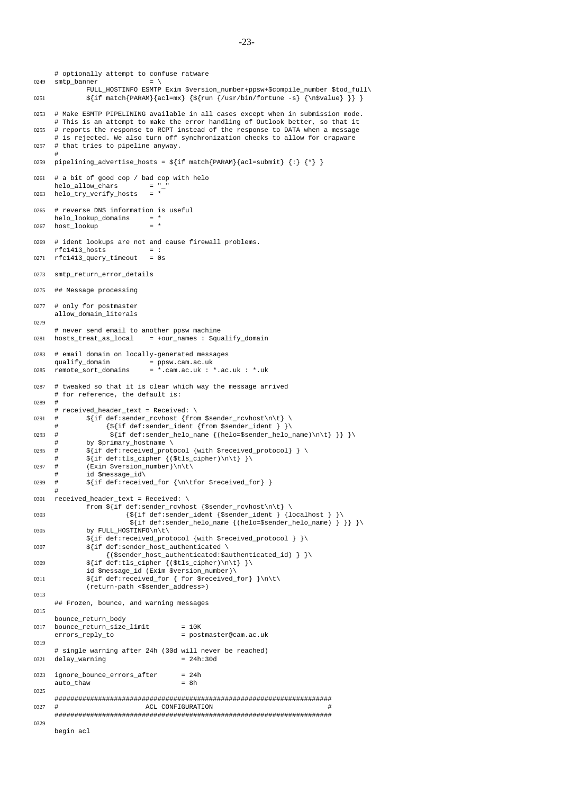```
# optionally attempt to confuse ratware
0249 \text{smtp\_banner} = \setminusFULL_HOSTINFO ESMTP Exim $version_number+ppsw+$compile_number $tod_full\
0251 \{if <math>match\{PARAM\} \{acl=mx\}</math> <math>\{fun <math>l/usr/bin/fortune -s\}</math> <math>\{n$value\}</math> }0253 # Make ESMTP PIPELINING available in all cases except when in submission mode.
     # This is an attempt to make the error handling of Outlook better, so that it
0255 # reports the response to RCPT instead of the response to DATA when a message
     # is rejected. We also turn off synchronization checks to allow for crapware
0257 # that tries to pipeline anyway.
      #
0259 pipelining_advertise_hosts = ${if match{PARAM}{acl=submit} {:} {*} }
0261 #abit of good cop / bad cop with helo
     helo allow chars = "0263 helo_try_verify_hosts = *
0265 # reverse DNS information is useful
     helo\_lookup\_domains = *<br>host lookup
0267 host lookup
0269 # ident lookups are not and cause firewall problems.
      rfc1413_hosts = :
0271 rfc1413_query_timeout = 0s
0273 smtp_return_error_details
0275 ## Message processing
0277 # only for postmaster
     allow_domain_literals
0279
     # never send email to another ppsw machine
0281 hosts_treat_as_local = +our_names : $qualify_domain
0283 # email domain on locally-generated messages
     qualify_domain = ppsw.cam.ac.uk
0285 remote_sort_domains = *.cam.ac.uk : *.ac.uk : *.uk
0287 # tweaked so that it is clear which way the message arrived
     # for reference, the default is:
0289 #
     # received_header_text = Received: \
0291 # \sqrt{if def: sender\_rcvhost \{from §sender\_rcvhost\n}\}{\sqrt{5}} {if def:sender_ident {from $sender_ident } }
0293 # \frac{1}{2} \frac{1}{2} \frac{1}{2} \frac{1}{2} \frac{1}{2} \frac{1}{2} \frac{1}{2} \frac{1}{2} \frac{1}{2} \frac{1}{2} \frac{1}{2} \frac{1}{2} \frac{1}{2} \frac{1}{2} \frac{1}{2} \frac{1}{2} \frac{1}{2} \frac{1}{2} \frac{1}{2} \frac{1}{2} \frac{1}{2} \frac{by $primary hostname \
0295 # \frac{1}{2} ${if def:received protocol {with $received protocol} } \
              \{if \ def: tls_cipher \{(Stls_cipher)\n\}\}\0297 # (Exim Sversion number)\n\t\
              id $message_id\
0299 # \{ \text{def} : \text{received for } {\hbox{\bf{for}} } \text{received for } } \}#
0301 received header text = Received: \setminusfrom ${if def:sender_rcvhost {$sender_rcvhost\n\t} \
0303 {\S} {\S[if def:sender_ident {$sender_ident } {localhost } }
                         ${if def:sender_helo_name {(helo=$sender_helo_name) } }} }\
0305 by FULL_HOSTINFO\n\t\
              ${if def:received_protocol {with $received_protocol } }\
0307 \int \int \text{d}f \cdot \text{sender} \cdot \text{host}\_ \ \text{authentication}{($sender_host_authenticated:$authenticated_id) } }\
0309 \{if \ def: tls_cipher \({$tls_cipher}{\h} \}\id $message_id (Exim $version_number)\
0311 \{if \ def: received\_for \{ for \ } \lceil \left( \frac{1}{n} \right) \} \right\}(return-path <$sender_address>)
0313
     ## Frozen, bounce, and warning messages
0315
     bounce_return_body
0317 bounce_return_size_limit = 10K
     errors_reply_to = postmaster@cam.ac.uk
0319
     # single warning after 24h (30d will never be reached)
0321 delay_warning = 24h:30d
0323 ignore_bounce_errors_after = 24h
     auto thaw = 8h0325
     ######################################################################
0327 # ACL CONFIGURATION
     ######################################################################
0329
     begin acl
```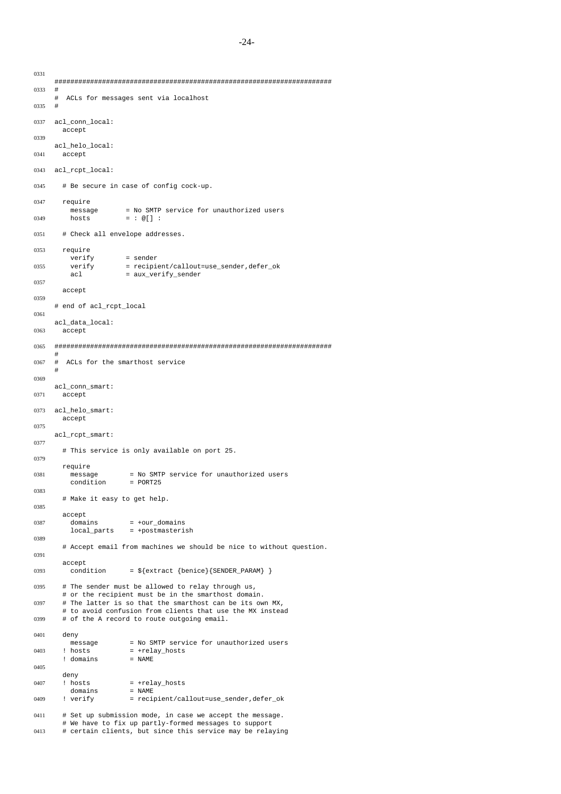###################################################################### 0333 # ACLs for messages sent via localhost 0335 # 0337 acl\_conn\_local: accept 0339 acl\_helo\_local: 0341 accept 0343 acl\_rcpt\_local: 0345 # Be secure in case of config cock-up. 0347 require -<br>message = No SMTP service for unauthorized users 0349 hosts = : @[] : 0351 # Check all envelope addresses. 0353 require verify = sender 0355 verify = recipient/callout=use\_sender,defer\_ok acl = aux\_verify\_sender 0357 accept 0359 # end of acl\_rcpt\_local 0361 acl\_data\_local: 0363 accept 0365 ###################################################################### # 0367 # ACLs for the smarthost service # 0369 acl\_conn\_smart: 0371 accept 0373 acl\_helo\_smart: accept 0375 acl\_rcpt\_smart: 0377 # This service is only available on port 25. 0379 require 0381 message = No SMTP service for unauthorized users<br>
condition = PORT25 condition 0383 # Make it easy to get help. 0385 accept<br>domains  $0387$  domains =  $+0.017$  domains local\_parts = +postmasterish 0389 # Accept email from machines we should be nice to without question. 0391 accept 0393 condition =  $\frac{1}{2}$  {extract {benice} {SENDER\_PARAM} } 0395 # The sender must be allowed to relay through us, # or the recipient must be in the smarthost domain. 0397 # The latter is so that the smarthost can be its own MX, # to avoid confusion from clients that use the MX instead 0399 # of the A record to route outgoing email. 0401 deny<br>message = No SMTP service for unauthorized users 0403 ! hosts = +relay\_hosts<br>! domains = NAME ! domains 0405 deny 0407 ! hosts = +relay\_hosts<br>domains = NAME domains<br>! verify 0409 ! verify = recipient/callout=use sender,defer ok 0411 # Set up submission mode, in case we accept the message.

0331

0413 # certain clients, but since this service may be relaying

<sup>#</sup> We have to fix up partly-formed messages to support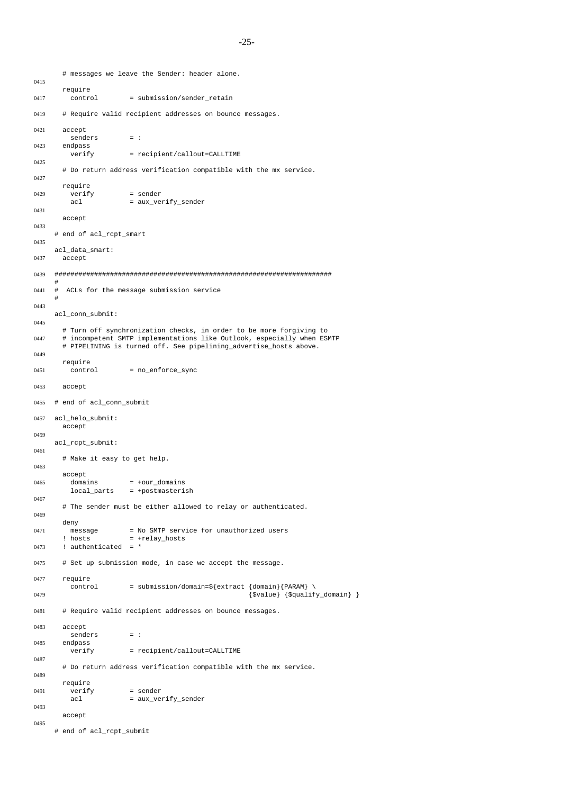```
# messages we leave the Sender: header alone.
0415
      require
0417 control = submission/sender_retain
0419 # Require valid recipient addresses on bounce messages.
0421 accept
        senders = :
0423 endpass
                      = recipient/callout=CALLTIME
0425
      # Do return address verification compatible with the mx service.
0427
      require
0429 verify = sender
        acl = aux_verify_sender
0431
      accept
0433
    # end of acl_rcpt_smart
0435
    acl_data_smart:
0437 accept
0439 ######################################################################
     #
0441 # ACLs for the message submission service
     #
0443
    acl_conn_submit:
0445
      # Turn off synchronization checks, in order to be more forgiving to
0447 # incompetent SMTP implementations like Outlook, especially when ESMTP
      # PIPELINING is turned off. See pipelining_advertise_hosts above.
0449
      require
0451 control = no\_enforce\_sync0453 accept
0455 # end of acl_conn_submit
0457 acl_helo_submit:
      accept
0459
    acl rcpt submit:
0461
      # Make it easy to get help.
0463
      accept
0465 domains = +our\_domainslocal_parts = +postmasterish
0467
      # The sender must be either allowed to relay or authenticated.
0469
      deny
0471 message = No SMTP service for unauthorized users
       ! hosts = +relay_hosts
0473 ! authenticated = *
0475 # Set up submission mode, in case we accept the message.
0477 require
        control = submission/domain=\frac{5}{extract} \{domain\} \0479 {$value} {$qualify_domain} }
0481 # Require valid recipient addresses on bounce messages.
0483 accept
        senders = :
0485 endpass
        verify = recipient/callout=CALLTIME
0487
      # Do return address verification compatible with the mx service.
0489
      require
0491 verify = sender<br>acl = aux ve
                      = aux verify sender
0493
      accept
0495
    # end of acl rcpt submit
```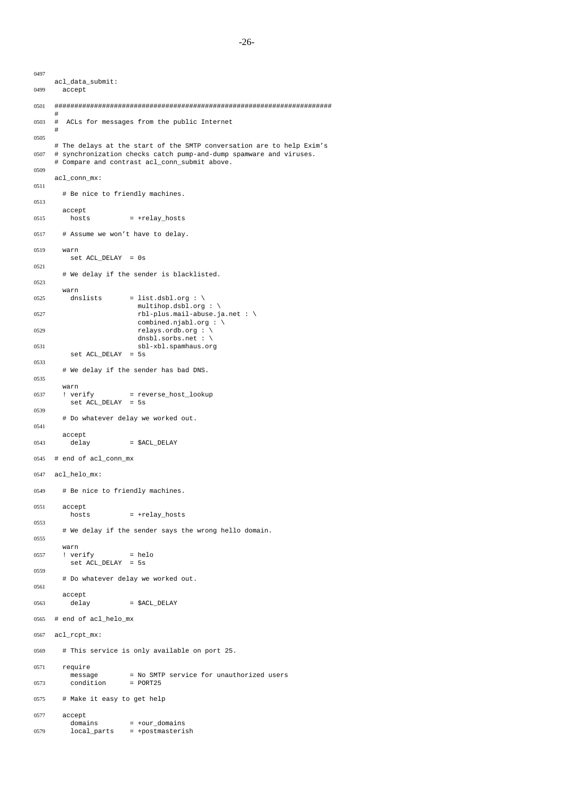```
0497
    acl_data_submit:
0499 accept
0501 ######################################################################
     #
0503 # ACLs for messages from the public Internet
     #
0505
     # The delays at the start of the SMTP conversation are to help Exim's
0507 # synchronization checks catch pump-and-dump spamware and viruses.
     # Compare and contrast acl conn submit above.
0509
     acl_conn_mx:
0511
      # Be nice to friendly machines.
0513
      accept
0515 hosts = +relay_hosts
0517 # Assume we won't have to delay.
0519 warn
        set ACL_DELAY = 0s
0521
      # We delay if the sender is blacklisted.
0523
      warn
0525 dnslists = list.dsbl.org : \setminusmultihop.dsbl.org : \
0527 rbl-plus.mail-abuse.ja.net : \
                        combined.njabl.org : \
0529 relays.ordb.org : \
                        dnsbl.sorbs.net : \
0531 sbl-xbl.spamhaus.org
        set ACL_DELAY = 5s
0533
      # We delay if the sender has bad DNS.
0535
      warn
0537 ! verify = reverse_host_lookup
         set ACL_DELAY = 5s
0539
      # Do whatever delay we worked out.
0541
      accept
0543 delay = $ACL_DELAY
0545 # end of acl_conn_mx
0547 acl helo mx:
0549 # Be nice to friendly machines.
0551 accept
        hosts = +relav hosts
0553
      # We delay if the sender says the wrong hello domain.
0555
      warn
0557 ! verify = helo
        set ACL_DELAY = 5s
0559
      # Do whatever delay we worked out.
0561
      accept
0563 delay = $ACL_DELAY
0565 # end of acl_helo_mx
0567 acl_rcpt_mx:
0569 # This service is only available on port 25.
0571 require
       .<br>message        = No SMTP service for unauthorized users<br>condition       = PORT25
0573 condition
0575 # Make it easy to get help
0577 accept
```

```
domains = +0ur domains
```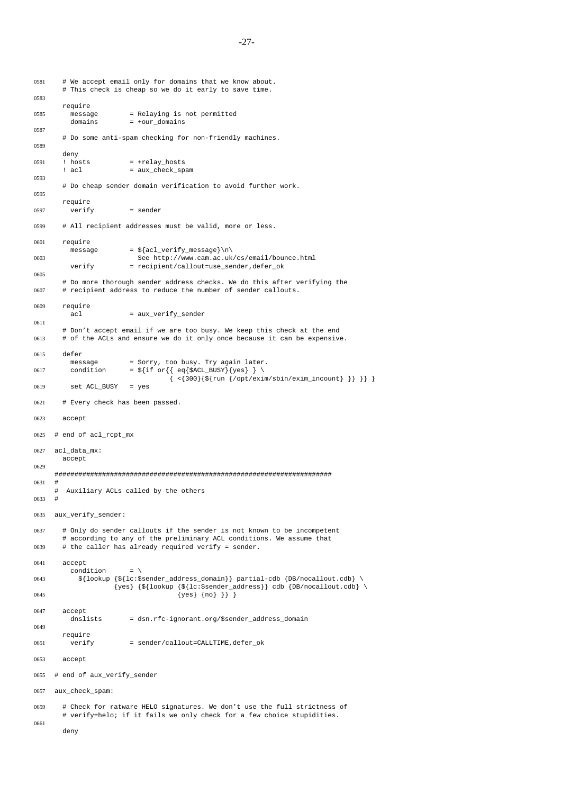```
0581 # We accept email only for domains that we know about.
        # This check is cheap so we do it early to save time.
0583
       require
0585 message = Relaying is not permitted
          domains = +our_domains
0587
        # Do some anti-spam checking for non-friendly machines.
0589
       deny<br>! hosts
0591 ! hosts = +relay hosts
       ! acl = aux_check_spam
0593
       # Do cheap sender domain verification to avoid further work.
0595
       require
0597 verify = sender
0599 # All recipient addresses must be valid, more or less.
0601 require
          message = \frac{3}{\arctan} \sqrt{\arctan} \cdot \frac{1}{\arctan} \cdot \frac{1}{\arctan}0603 See http://www.cam.ac.uk/cs/email/bounce.html
          verify = recipient/callout=use_sender,defer_ok
0605
       # Do more thorough sender address checks. We do this after verifying the
0607 # recipient address to reduce the number of sender callouts.
0609 require
         acl = aux_verify_sender
0611
        # Don't accept email if we are too busy. We keep this check at the end
0613 # of the ACLs and ensure we do it only once because it can be expensive.
0615 defer
         message = Sorry, too busy. Try again later.
0617 condition = \frac{1}{2} = \frac{1}{2} { \frac{1}{2} eq{$ACL_BUSY} {yes} } \
                                      { <{300}{${run {/opt/exim/sbin/exim_incount} }} }} }
0619 set ACL_BUSY = yes
0621 # Every check has been passed.
0623 accept
0625 # end of acl_rcpt_mx
0627 acl_data_mx:
       accept
0629
     ######################################################################
0631 #
     # Auxiliary ACLs called by the others
0633 #
0635 aux_verify_sender:
0637 # Only do sender callouts if the sender is not known to be incompetent
        # according to any of the preliminary ACL conditions. We assume that
0639 # the caller has already required verify = sender.
0641 accept
          condition = \sqrt{ }0643 \frac{1}{2} \left\{ \text{lookup} \left\{ \frac{1}{c} : \text{Sender\_address\_domain} \right\} \text{ partial-cdb} \left\{ \text{DB}/\text{nocall} \right\} \right. \right\}\{yes\} \{ \{lookup \{ \{lc:$sender\_address\} cdb \{ DB/nocallout.cdb} \
0645 {\text{\sigma_{\sigma_{\sigma_{\sigma_{\sigma_{\sigma_{\sigma_{\sigma_{\sigma_{\sigma_{\sigma_{\sigma_{\sigma_{\sigma_}}}}} } {\sigma_{\sigma_{\sigma_{\sigma_{\sigma_{\sigma_{\sigma_{\sigma_{\sigma_{\sigma_{\sigma_{\s
0647 accept<br>dnslists
                          = dsn.rfc-ignorant.org/$sender_address_domain
0649
       require
0651 verify = sender/callout=CALLTIME, defer_ok
0653 accept
0655 # end of aux_verify_sender
0657 aux_check_spam:
0659 # Check for ratware HELO signatures. We don't use the full strictness of
        # verify=helo; if it fails we only check for a few choice stupidities.
0661
       deny
```

```
-27-
```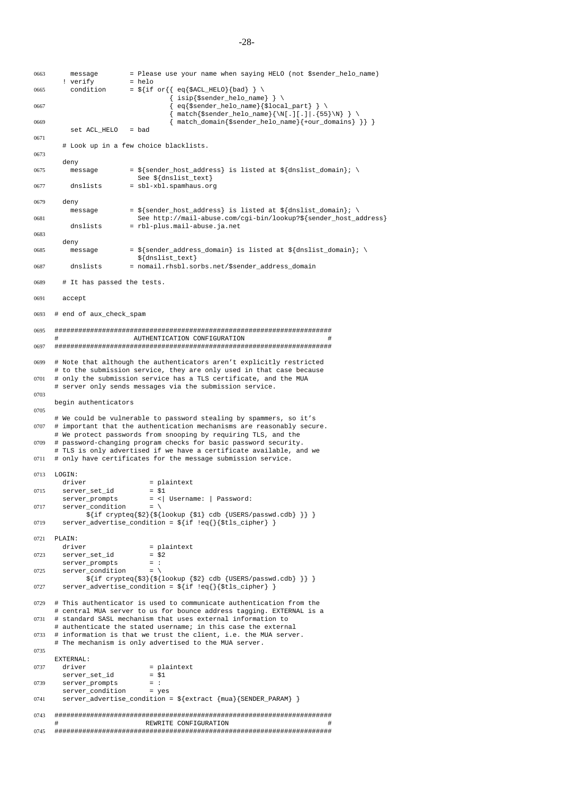```
0663 message = Please use your name when saying HELO (not $sender_helo_name)
       ! verify = helo<br>condition = \frac{1}{2} if
0665 condition = \sqrt[5]{i} eq{\sqrt[5]{2}RELO}{bad} } \
                                     { isip{$sender_helo_name} } \
0667 { eq{$sender_helo_name}{$local_part} } \
                                     { match{$sender_helo_name}{\N[.][.]|.{55}\N} } \
0669 \{ \text{match\_domain}\{\text{sender\_helo\_name}\}\{\text{+our\_domains}\} \}set ACL_HELO
0671
       # Look up in a few choice blacklists.
0673
       deny
0675 message = \frac{1}{5} = \frac{1}{5} and \frac{1}{5} is listed at \frac{1}{5} dnslist domain}; \
                          See ${dnslist_text}
0677 dnslists = sbl-xbl.spamhaus.org
0679 deny
         message = ${sender host address} is listed at ${dnslist domain}; \setminus0681 See http://mail-abuse.com/cgi-bin/lookup?${sender_host_address}
         dnslists = rbl-plus.mail-abuse.ja.net
0683
       deny
0685 message = \frac{1}{2} = \frac{1}{2} = \frac{1}{2} message = \frac{1}{2} = \frac{1}{2} = \frac{1}{2} = \frac{1}{2} = \frac{1}{2} = \frac{1}{2} = \frac{1}{2} = \frac{1}{2} = \frac{1}{2} = \frac{1}{2} = \frac{1}{2} = \frac{1}{2} = \frac{1}{2} = \frac{1}{${dnslist_text}
0687 dnslists = nomail.rhsbl.sorbs.net/$sender_address_domain
0689 # It has passed the tests.
0691 accept
0693 # end of aux_check_spam
0695 ######################################################################
                          AUTHENTICATION CONFIGURATION
0697 ######################################################################
0699 # Note that although the authenticators aren't explicitly restricted
     # to the submission service, they are only used in that case because
0701 # only the submission service has a TLS certificate, and the MUA
     # server only sends messages via the submission service.
0703
     begin authenticators
0705
     # We could be vulnerable to password stealing by spammers, so it's
0707 # important that the authentication mechanisms are reasonably secure.
     # We protect passwords from snooping by requiring TLS, and the
0709 # password-changing program checks for basic password security.
     # TLS is only advertised if we have a certificate available, and we
0711 # only have certificates for the message submission service.
0713 LOGIN:
       driver = plaintext
0715 server_set_id = $1<br>server_prompts = <|
                              = <| Username: | Password:
0717 server_condition = \
              ${if crypteq{$2}{${lookup {$1} cdb {USERS/passwd.cdb} }} }
0719 server_advertise_condition = ${if !eq{}{$tls_cipher} }
0721 PLAIN:
       driver = plaintext
0723 server_set_id = $2
       server\_prompts = :<br>server condition = \
0725 server condition
             ${if crypteq{$3}{${lookup {$2} cdb {USERS/passwd.cdb} }} }
0727 server_advertise_condition = ${if !eq{}{$tls_cipher} }
0729 # This authenticator is used to communicate authentication from the
     # central MUA server to us for bounce address tagging. EXTERNAL is a
0731 # standard SASL mechanism that uses external information to
     # authenticate the stated username; in this case the external
0733 # information is that we trust the client, i.e. the MUA server.
     # The mechanism is only advertised to the MUA server.
0735
     EXTERNAL:
0737 driver = plaintext<br>
server\_set\_id = $1server\_set\_id0739 server_prompts = :<br>server_condition = yes
       server_condition
0741 server advertise condition = ${extract } {mua}{SENDER PARAM} }
0743 ######################################################################
                             REWRITE CONFIGURATION
0745 ######################################################################
```
-28-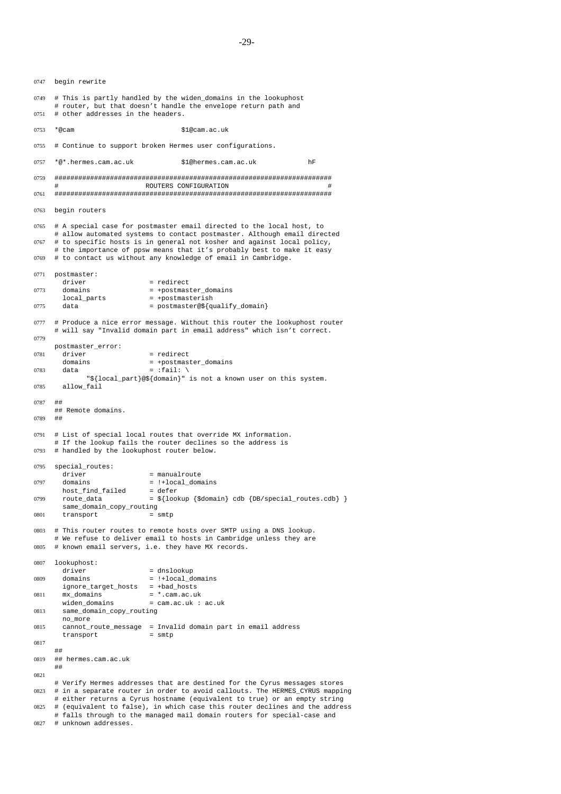```
-29-
```
0747 begin rewrite

0749 # This is partly handled by the widen\_domains in the lookuphost # router, but that doesn't handle the envelope return path and 0751 # other addresses in the headers. 0753 \*@cam \$1@cam.ac.uk 0755 # Continue to support broken Hermes user configurations. 0757 \*@\*.hermes.cam.ac.uk \$1@hermes.cam.ac.uk hF 0759 ###################################################################### ROUTERS CONFIGURATION 0761 ###################################################################### 0763 begin routers 0765 #Aspecial case for postmaster email directed to the local host, to # allow automated systems to contact postmaster. Although email directed 0767 # to specific hosts is in general not kosher and against local policy, # the importance of ppsw means that it's probably best to make it easy 0769 # to contact us without any knowledge of email in Cambridge. 0771 postmaster:<br>driver = redirect 0773 domains = +postmaster\_domains<br>local\_parts = +postmasterish local\_parts = +postmasterish<br>data = nostmaster@\$/m  $0775$  data = postmaster@\${qualify\_domain} 0777 # Produce a nice error message. Without this router the lookuphost router # will say "Invalid domain part in email address" which isn't correct. 0779 postmaster\_error:  $0781$  driver  $=$  redirect domains = +postmaster\_domains  $0783$  data =  $:$ fail: \ "\${local\_part}@\${domain}" is not a known user on this system. 0785 allow\_fail 0787 ## ## Remote domains. 0789 ## 0791 # List of special local routes that override MX information. # If the lookup fails the router declines so the address is 0793 # handled by the lookuphost router below. 0795 special\_routes: driver = manualroute  $0797$  domains  $=$   $!+\text{local\_domains}$  $host\_find\_failed$  = defer<br>route data =  $\frac{s}{100}$ 0799 route\_data =  $${$ ookup  $$domain}$  cdb  ${DB}/special$  routes.cdb} } same\_domain\_copy\_routing  $0801$  transport = smtp 0803 # This router routes to remote hosts over SMTP using a DNS lookup. # We refuse to deliver email to hosts in Cambridge unless they are 0805 # known email servers, i.e. they have MX records. 0807 lookuphost:<br>driver = dnslookup 0809 domains = !+local\_domains ignore\_target\_hosts = +bad\_hosts<br>mx domains = \*.cam.ac.ul 0811 mx\_domains = \*.cam.ac.uk<br>widen\_domains = cam.ac.uk :  $=$  cam.ac.uk : ac.uk 0813 same\_domain\_copy\_routing no\_more 0815 cannot\_route\_message = Invalid domain part in email address transport = smtp 0817 ## 0819 ## hermes.cam.ac.uk ## 0821 # Verify Hermes addresses that are destined for the Cyrus messages stores 0823 # inaseparate router in order to avoid callouts. The HERMES\_CYRUS mapping # either returns a Cyrus hostname (equivalent to true) or an empty string 0825 # (equivalent to false), in which case this router declines and the address # falls through to the managed mail domain routers for special-case and 0827 # unknown addresses.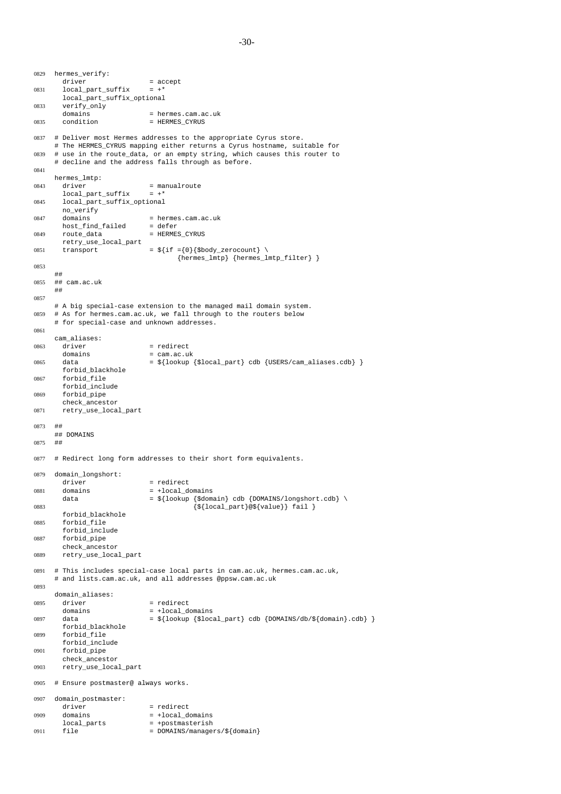0829 hermes\_verify: driver  $=$  accept<br>local\_part\_suffix  $=$  +\* 0831 local\_part\_suffix local\_part\_suffix\_optional 0833 verify\_only domains = hermes.cam.ac.uk<br>condition = HERMES\_CYRUS 0835 condition = HERMES\_CYRUS 0837 # Deliver most Hermes addresses to the appropriate Cyrus store. # The HERMES\_CYRUS mapping either returns a Cyrus hostname, suitable for 0839  $\#$  use in the route data, or an empty string, which causes this router to # decline and the address falls through as before. 0841 hermes\_lmtp: 0843 driver = manualroute local\_part\_suffix = +\* 0845 local\_part\_suffix\_optional no\_verify 0847 domains = hermes.cam.ac.uk host\_find\_failed = defer  $0849$  route\_data = HERMES\_CYRUS retry\_use\_local\_part 0851 transport =  $\{\text{if} = \{0\} \{\text{shody\_zerocount}\} \ \}$ {hermes\_lmtp} {hermes\_lmtp\_filter} } 0853 ## 0855 ## cam.ac.uk ## 0857 #Abig special-case extension to the managed mail domain system. 0859 # As for hermes.cam.ac.uk, we fall through to the routers below # for special-case and unknown addresses. 0861 cam\_aliases:  $0863$  driver = redirect = redirect = redirect = redirect = redirect = redirect = redirect = redirect = redirect = redirect = redirect = redirect = redirect = redirect = redirect = redirect = redirect = redirect = redirec = cam.ac.uk 0865 data  $= \frac{2}{\log \left\{1\text{odkup}\left\{\frac{1}{\log \left(1-\frac{1}{\log \left(1-\frac{1}{\log \left(1-\frac{1}{\log \left(1-\frac{1}{\log \left(1-\frac{1}{\log \left(1-\frac{1}{\log \left(1-\frac{1}{\log \left(1-\frac{1}{\log \left(1-\frac{1}{\log \left(1-\frac{1}{\log \left(1-\frac{1}{\log \left(1-\frac{1}{\log \left(1-\frac{1}{\log \left(1-\frac{1}{\log \left(1-\frac{1}{\log \left(1-\frac{1}{\log \left(1-\$ forbid\_blackhole 0867 forbid\_file forbid\_include 0869 forbid\_pipe check\_ancestor 0871 retry\_use\_local\_part 0873 ## ## DOMAINS 0875 ## 0877 # Redirect long form addresses to their short form equivalents. 0879 domain\_longshort: driver = redirect 0881 domains  $\frac{1}{100}$  = +local\_domains<br>data =  $\frac{1}{2}$ lookup {\$dom =  $\sqrt[4]{\text{lookup}} {\text{d}{\text{domain}}}$  cdb  $\{\text{DOMAINS}/\text{longshort}.cdb\}$ 0883  $\{\$ \{local\_part\} \ @\{\text{value}\} \}$  fail } forbid\_blackhole 0885 forbid\_file forbid\_include 0887 forbid\_pipe check\_ancestor 0889 retry\_use\_local\_part 0891 # This includes special-case local parts in cam.ac.uk, hermes.cam.ac.uk, # and lists.cam.ac.uk, and all addresses @ppsw.cam.ac.uk 0893 domain\_aliases: 0895 driver = redirect domains  $= +\text{local\_domains}$ <br>data  $=$   $\frac{\text{d}}{\text{domain}}$   $=$   $\frac{\text{d}}{\text{domain}}$   $\frac{\text{d}}{\text{factor}}$ 0897 data  $=$   ${}_{2}^{2}$  data  $=$   ${}_{2}^{2}$  decal\_part} cdb {DOMAINS/db/\${domain}.cdb} } forbid\_blackhole 0899 forbid\_file forbid\_include 0901 forbid\_pipe check\_ancestor 0903 retry\_use\_local\_part 0905 # Ensure postmaster@ always works. 0907 domain\_postmaster: driver = redirect<br>domains = +local\_d  $0909$  domains =  $+1$ ocal\_domains local\_parts = +postmasterish  $0911$  file = DOMAINS/managers/\${domain}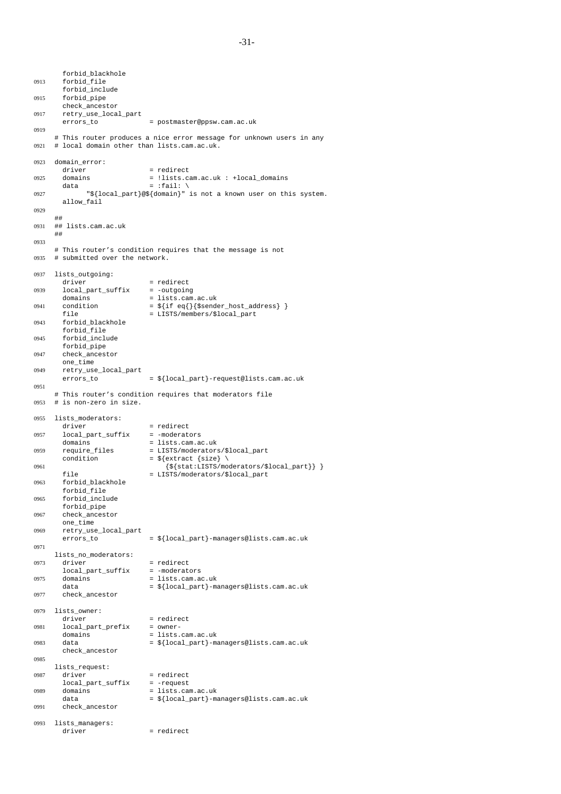forbid\_blackhole 0913 forbid\_file forbid\_include 0915 forbid\_pipe check\_ancestor 0917 retry\_use\_local\_part errors\_to = postmaster@ppsw.cam.ac.uk 0919 # This router produces a nice error message for unknown users in any 0921 # local domain other than lists.cam.ac.uk. 0923 domain\_error: = redirect 0925 domains =  $lli$ sts.cam.ac.uk : +local\_domains  $data$  =  $:fail: \setminus$ 0927 "\${local\_part}@\${domain}" is not a known user on this system. allow fail 0929 ## 0931 ## lists.cam.ac.uk ## 0933 # This router's condition requires that the message is not 0935 # submitted over the network. 0937 lists\_outgoing: = redirect 0939 local\_part\_suffix = -outgoing domains  $=$  lists.cam.ac.uk<br>condition  $=$   $\frac{s}{it}$  eq{}{\$send 0941 condition  $= \frac{1}{2} {\text{if eq}} {\frac{1}{2} {\text{sender}_\text{not} \cdot \text{mod} {\text{res}}}}}$ file = LISTS/members/\$local\_part 0943 forbid\_blackhole forbid\_file 0945 forbid\_include forbid\_pipe 0947 check\_ancestor one\_time 0949 retry\_use\_local\_part<br>errors\_to = \${local\_part}-request@lists.cam.ac.uk 0951 # This router's condition requires that moderators file 0953 # is non-zero in size. 0955 lists\_moderators:<br>driver = redirect 0957 local\_part\_suffix = -moderators domains = <br>  $=$  lists.cam.ac.uk<br>  $=$  LISTS/moderators 0959 require files = LISTS/moderators/\$local part condition  $= ${$ exp} =  ${$ 0961  ${\S\{\text{stat:LISTS/moderators}/\$local\_part\}}$ <br>file = LISTS/moderators/\$local\_part file = LISTS/moderators/\$local\_part 0963 forbid\_blackhole forbid\_file 0965 forbid\_include forbid\_pipe 0967 check\_ancestor one\_time 0969 retry\_use\_local\_part errors\_to =  $\frac{1}{2}$  =  $\frac{1}{2}$  [local\_part]-managers@lists.cam.ac.uk 0971 lists\_no\_moderators:  $0973$  driver = redirect<br> $10 \text{ rad part suffix} = - \text{moderators}$  $local\_part\_suffix$ 0975 domains = lists.cam.ac.uk data  $= \frac{2}{3}$ [local\_part}-managers@lists.cam.ac.uk 0977 check\_ancestor 0979 lists\_owner:<br>driver = redirect 0981 local\_part\_prefix = owner-<br>domains = lists domains  $=$  lists.cam.ac.uk<br>data  $=$   $\frac{1}{3}$ [local\_part}-m 0983 data  $=$   ${}_{2}$ {local\_part}-managers@lists.cam.ac.uk check\_ancestor 0985 lists\_request:  $0987$  driver = redirect local\_part\_suffix = -request<br>domains = lists.ca 0989 domains =  $\frac{1}{3}$  = lists.cam.ac.uk<br>data =  $\frac{1}{3}$  =  $\frac{1}{3}$  =  $\frac{1}{3}$  =  $\frac{1}{3}$  =  $\frac{1}{3}$  =  $\frac{1}{3}$  =  $\frac{1}{3}$  =  $\frac{1}{3}$  =  $\frac{1}{3}$  =  $\frac{1}{3}$  =  $\frac{1}{3}$  =  $\frac{1}{3}$  =  $\frac{1}{3}$  =  $\frac{1}{3}$  =  $\frac$ = \${local part}-managers@lists.cam.ac.uk 0991 check\_ancestor 0993 lists\_managers:  $\text{driver}$  = redirect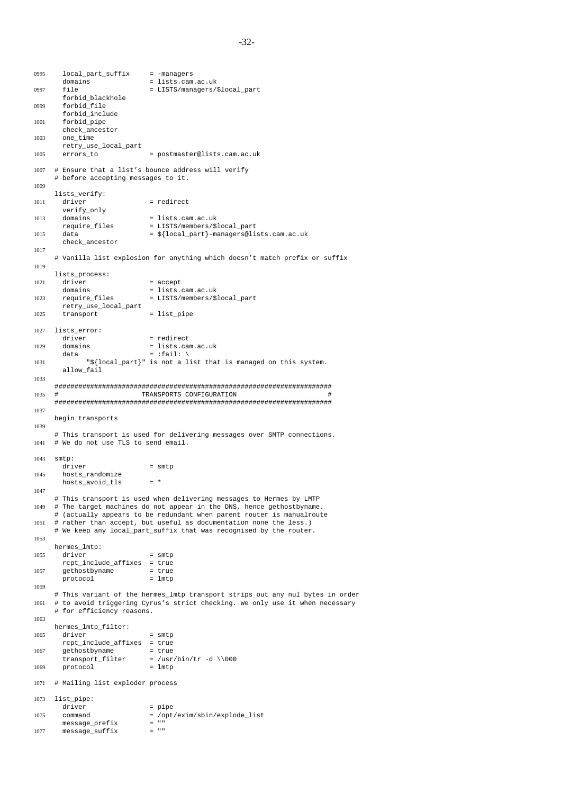```
0995 local_part_suffix = -managers
        domains = lists.cam.ac.uk<br>file = LISTS/managers/
0997 file = LISTS/managers/$local_part
        forbid_blackhole
0999 forbid_file
        forbid_include
1001 forbid_pipe
        check_ancestor
1003 one_time
        retry_use_local_part
1005 errors to = postmaster@lists.cam.ac.uk
1007 # Ensure that a list's bounce address will verify
      # before accepting messages to it.
1009
      lists_verify:
1011 driver = redirect
        verify_only
1013 domains = lists.cam.ac.uk<br>require_files = LISTS/members/$
                                   = LISTS/members/$local_part
1015 data = \frac{1}{2}[local_part}-managers@lists.cam.ac.uk
        check_ancestor
1017
      # Vanilla list explosion for anything which doesn't match prefix or suffix
1019
      lists_process:
1021 driver = accept
        domains = lists.cam.ac.uk
1023 require_files = LISTS/members/$local_part
        retry_use_local_part
1025 transport = list_pipe
1027 lists_error:
        driver = redirect<br>domains = lists.ca
1029 domains = lists.cam.ac.uk<br>data = :fail: \
                                   = :fail: \setminus1031 "${local_part}" is not a list that is managed on this system.
        allow_fail
1033
      ######################################################################
1035 # TRANSPORTS CONFIGURATION
      ######################################################################
1037
      begin transports
1039
      # This transport is used for delivering messages over SMTP connections.
1041 # We do not use TLS to send email.
1043 smtp:
        \text{div} \cdot \text{div} = \text{int} \cdot \text{div} \cdot \text{div} \cdot \text{div} \cdot \text{div} \cdot \text{div} \cdot \text{div} \cdot \text{div} \cdot \text{div} \cdot \text{div} \cdot \text{div} \cdot \text{div} \cdot \text{div} \cdot \text{div} \cdot \text{div} \cdot \text{div} \cdot \text{div} \cdot \text{div} \cdot \text{div} \cdot \text{div} \cdot \text{div} \cdot \text{div} \cdot \text{div} \cdot \text{div} \cdot \text{div} \cdot \text{div} \cdot \text{div} \cdot \text{div} \cdot \text{div} \cdot \text{div1045 hosts_randomize
        hosts<sub>_avoid_tls</sub> = *
1047
      # This transport is used when delivering messages to Hermes by LMTP
1049 # The target machines do not appear in the DNS, hence gethostbyname.
      # (actually appears to be redundant when parent router is manualroute
1051 # rather than accept, but useful as documentation none the less.)
      # We keep any local_part_suffix that was recognised by the router.
1053
      hermes_lmtp:
1055 driver = smtprcpt\_include\_affixes = true<br>gethostbrane = true1057 gethostbyname
        protocol = lmtp
1059
      # This variant of the hermes_lmtp transport strips out any nul bytes in order
1061 # to avoid triggering Cyrus's strict checking. We only use it when necessary
      # for efficiency reasons.
1063
      hermes_lmtp_filter:
1065 driver = 5 \text{ mT} = 5 \text{ mT}rcpt_include_affixes = true
1067 gethostbyname = true
        {\tt transport\_filter} = /usr/bin/tr -d \setminus 000 <br> protocol = lmtp
1069 protocol
1071 # Mailing list exploder process
1073 list_pipe:
        \text{driver} = \text{pipe}<br>
\text{command} = \sqrt{\text{opt}}1075 command = /\text{opt}/\text{exim}/\text{spin}/\text{exp}lode_list message_prefix = ""
        message_prefix = ""<br>message suffix = ""
1077 message suffix
```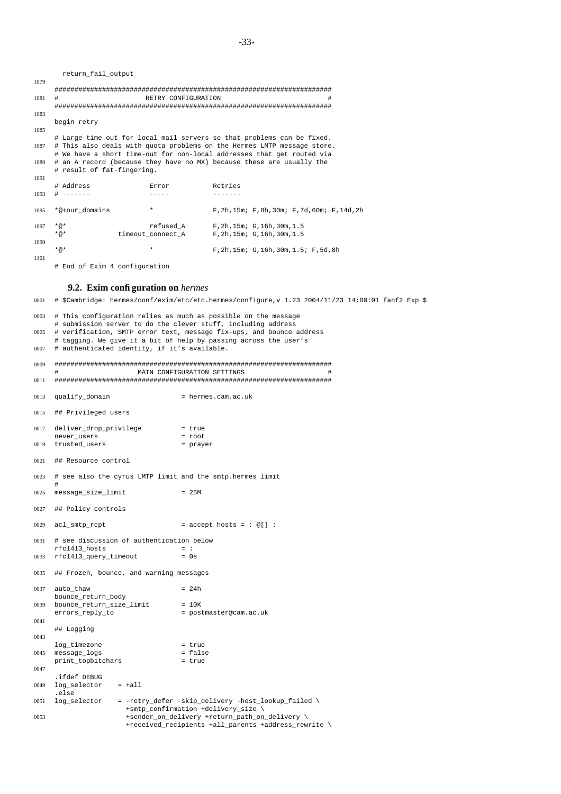|      | return fail output                                                      |                     |                                        |                                                |   |
|------|-------------------------------------------------------------------------|---------------------|----------------------------------------|------------------------------------------------|---|
| 1079 |                                                                         |                     |                                        |                                                |   |
|      |                                                                         |                     |                                        |                                                |   |
| 1081 | #                                                                       | RETRY CONFIGURATION |                                        |                                                | # |
|      |                                                                         |                     |                                        |                                                |   |
| 1083 |                                                                         |                     |                                        |                                                |   |
|      | begin retry                                                             |                     |                                        |                                                |   |
| 1085 |                                                                         |                     |                                        |                                                |   |
|      | # Large time out for local mail servers so that problems can be fixed.  |                     |                                        |                                                |   |
| 1087 | # This also deals with quota problems on the Hermes LMTP message store. |                     |                                        |                                                |   |
|      | # We have a short time-out for non-local addresses that get routed via  |                     |                                        |                                                |   |
| 1089 | # an A record (because they have no MX) because these are usually the   |                     |                                        |                                                |   |
|      | # result of fat-fingering.                                              |                     |                                        |                                                |   |
| 1091 |                                                                         |                     |                                        |                                                |   |
|      | # Address                                                               | Error               | Retries                                |                                                |   |
| 1093 | $- - - - - - -$                                                         |                     | -------                                |                                                |   |
| 1095 | *@+our domains                                                          | $\star$             |                                        | F, 2h, 15m; F, 8h, 30m; F, 7d, 60m; F, 14d, 2h |   |
|      |                                                                         |                     |                                        |                                                |   |
| 1097 | $*_{@}*$                                                                |                     | refused A F, 2h, 15m; G, 16h, 30m, 1.5 |                                                |   |
|      | $*_{@}*$                                                                | timeout connect A   | $F$ , 2h, 15m; $G$ , 16h, 30m, 1.5     |                                                |   |
| 1099 |                                                                         |                     |                                        |                                                |   |
|      | $*_{@}*$                                                                | $\star$             |                                        | F, 2h, 15m; G, 16h, 30m, 1.5; F, 5d, 8h        |   |
| 1101 |                                                                         |                     |                                        |                                                |   |

# End of Exim 4 configuration

### **9.2. Exim configuration on** *hermes*

0001 # \$Cambridge: hermes/conf/exim/etc/etc.hermes/configure,v 1.23 2004/11/23 14:00:01 fanf2 Exp \$ 0003 # This configuration relies as much as possible on the message # submission server to do the clever stuff, including address 0005 # verification, SMTP error text, message fix-ups, and bounce address # tagging. We give it a bit of help by passing across the user's 0007 # authenticated identity, if it's available. 0009 ###################################################################### MAIN CONFIGURATION SETTINGS 0011 ###################################################################### 0013 qualify\_domain = hermes.cam.ac.uk 0015 ## Privileged users 0017 deliver\_drop\_privilege = true<br>
never\_users = root never\_users 0019 trusted\_users = prayer 0021 ## Resource control 0023 # see also the cyrus LMTP limit and the smtp.hermes limit #  $0025$  message\_size\_limit = 25M 0027 ## Policy controls  $0029$  acl smtp rcpt  $=$  accept hosts = : @[] : 0031 # see discussion of authentication below  $rfc1413_hosts$  = : 0033 rfc1413\_query\_timeout = 0s 0035 ## Frozen, bounce, and warning messages  $0037$  auto thaw  $= 24h$ bounce\_return\_body 0039 bounce\_return\_size\_limit = 10K errors\_reply\_to = postmaster@cam.ac.uk 0041 ## Logging 0043 log\_timezone = true  $0045$   $message\_logs$ print\_topbitchars = true 0047 .ifdef DEBUG 0049 log\_selector = +all .else 0051 log\_selector = -retry\_defer -skip\_delivery -host\_lookup\_failed \ +smtp\_confirmation +delivery\_size \ 0053 +sender\_on\_delivery +return\_path\_on\_delivery \ +received\_recipients +all\_parents +address\_rewrite \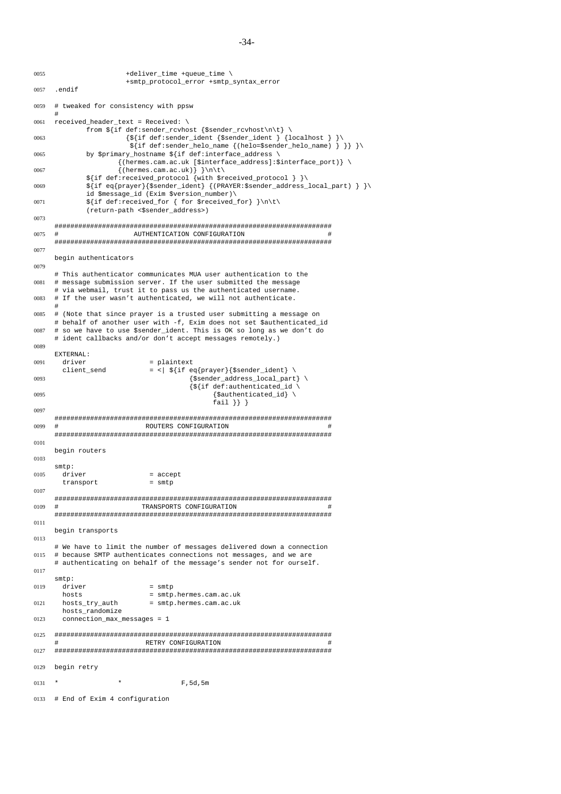```
0055 +deliver_time +queue_time \
                       +smtp_protocol_error +smtp_syntax_error
0057 .endif
0059 # tweaked for consistency with ppsw
     #
0061 received header text = Received: \setminusfrom \int[if def:sender_rcvhost {$sender_rcvhost\n\t} \
0063 \{ \S \} \{ \S \} \{ \S \} \{ \text{def:} = \text{ender\_ident} \} \{ \text{localhost } \}${if def:sender_helo_name {(helo=$sender_helo_name) } }} }\
0065 by $primary hostname ${if def:interface address \
                     {(hermes.cam.ac.uk [$interface_address]:$interface_port)} \
0067 \{(\text{hermes.cam.ac.uk})\}\${if def:received_protocol {with $received_protocol } }\
0069 ${if eq{prayer}{$sender_ident} {(PRAYER:$sender_address_local_part) } }\
             id $message_id (Exim $version_number)\
0071 \int \int \left( \frac{1}{\pi} \right) dx(return-path <$sender_address>)
0073
     ######################################################################
0075 # AUTHENTICATION CONFIGURATION #
     ######################################################################
0077
     begin authenticators
0079
     # This authenticator communicates MUA user authentication to the
0081 # message submission server. If the user submitted the message
     # via webmail, trust it to pass us the authenticated username.
0083 # If the user wasn't authenticated, we will not authenticate.
     #
0085 # (Note that since prayer is a trusted user submitting a message on
     # behalf of another user with -f, Exim does not set $authenticated_id
0087 # so we have to use $sender_ident. This is OK so long as we don't do
     # ident callbacks and/or don't accept messages remotely.)
0089
     EXTERNAL:
0091 driver = plaintext
       client_send = \begin{cases} \frac{1}{2} \frac{1}{2} \frac{1}{2} \frac{1}{2} \frac{1}{2} \frac{1}{2} \frac{1}{2} \frac{1}{2} \frac{1}{2} \frac{1}{2} \frac{1}{2} \frac{1}{2} \frac{1}{2} \frac{1}{2} \frac{1}{2} \frac{1}{2} \frac{1}{2} \frac{1}{2} \frac{1}{2} \frac{1}{20093 {$sender_address_local_part} \
                                       \frac{1}{8} {if def:authenticated_id \
0095 \{$authenticated_id\}
                                             fail \} }
0097
     ######################################################################
0099 # ROUTERS CONFIGURATION #
     ######################################################################
0101
     begin routers
0103
     smtp:
0105 driver = accept
       transport = smtp
0107
     ######################################################################
0109 # TRANSPORTS CONFIGURATION #
     ######################################################################
0111
     begin transports
0113
     # We have to limit the number of messages delivered down a connection
0115 # because SMTP authenticates connections not messages, and we are
     # authenticating on behalf of the message's sender not for ourself.
0117
     smtp:
0119 driver = smtp<br>hosts = smtp<br>= smtp
                             = smtp.hermes.cam.ac.uk
0121 hosts_try_auth = smtp.hermes.cam.ac.uk
       hosts_randomize
0123 connection_max_messages = 1
0125 ######################################################################
                            RETRY CONFIGURATION
0127 ######################################################################
0129 begin retry
0131 * F,5d,5m
0133 # End of Exim 4 configuration
```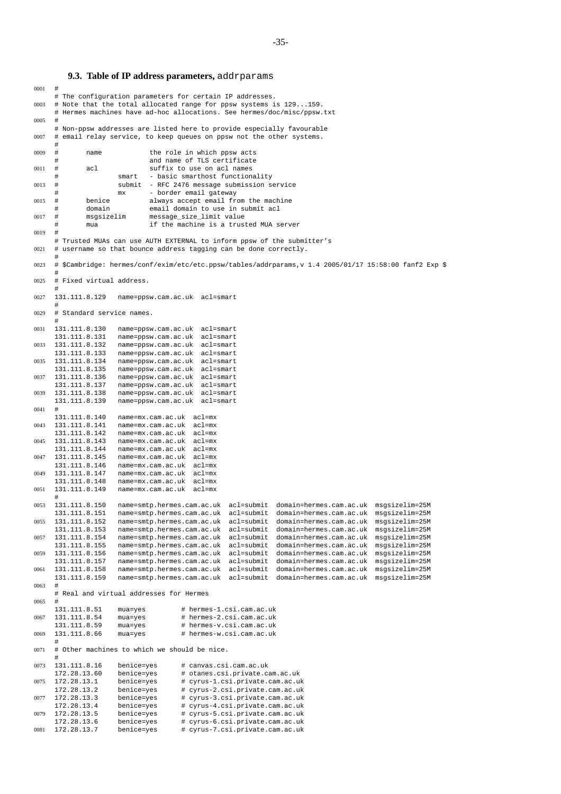### **9.3. Table of IP address parameters,** addrparams

```
0001 #
     # The configuration parameters for certain IP addresses.
0003 # Note that the total allocated range for ppsw systems is 129...159.
      # Hermes machines have ad-hoc allocations. See hermes/doc/misc/ppsw.txt
0005
      # Non-ppsw addresses are listed here to provide especially favourable
0007 # email relay service, to keep queues on ppsw not the other systems.
      #
0009 # name the role in which ppsw acts
                                and name of TLS certificate
0011 # acl suffix to use on acl names
      # smart - basic smarthost functionality
0013 # submit - RFC 2476 message submission service
                       mx - border email gateway
0015 # benice always accept email from the machine
              domain email domain to use in submit acl
0017 # msgsizelim message_size_limit value
              mua if the machine is a trusted MUA server
0019 #
     # Trusted MUAs can use AUTH EXTERNAL to inform ppsw of the submitter's
0021 # username so that bounce address tagging can be done correctly.
      #
0023 # $Cambridge: hermes/conf/exim/etc/etc.ppsw/tables/addrparams,v 1.4 2005/01/17 15:58:00 fanf2 Exp $
      #
0025 # Fixed virtual address.
     131.111.8.129
0027 131.111.8.129 name=ppsw.cam.ac.uk acl=smart
      #
0029 # Standard service names.
      #
0031 131.111.8.130 name=ppsw.cam.ac.uk acl=smart<br>131.111.8.131 name=ppsw.cam.ac.uk acl=smart
                       name=ppsw.cam.ac.uk acl=smart
0033 131.111.8.132 name=ppsw.cam.ac.uk acl=smart<br>131 111 8 133 name=ppsw.cam.ac.uk acl=smart
                       name=ppsw.cam.ac.uk acl=smart
0035 131.111.8.134 name=ppsw.cam.ac.uk acl=smart
     131.111.8.135 name=ppsw.cam.ac.uk acl=smart
0037 131.111.8.136 name=ppsw.cam.ac.uk acl=smart
     131.111.8.137 name=ppsw.cam.ac.uk acl=smart
0039 131.111.8.138 name=ppsw.cam.ac.uk acl=smart
     131.111.8.139 name=ppsw.cam.ac.uk acl=smart
0041 #
     131.111.8.140 name=mx.cam.ac.uk acl=mx
0043 131.111.8.141 name=mx.cam.ac.uk acl=mx
     131.111.8.142 name=mx.cam.ac.uk acl=mx<br>131.111.8.143 name=mx.cam.ac.uk acl=mx
0045 131.111.8.143 name=mx.cam.ac.uk acl=mx<br>131.111.8.144 name=mx.cam.ac.uk acl=mx
     131.111.8.144 name=mx.cam.ac.uk<br>131.111.8.145 name=mx.cam.ac.uk
0047 131.111.8.145 name=mx.cam.ac.uk acl=mx<br>131.111.8.146 name=mx.cam.ac.uk acl=mx
     131.111.8.146 name=mx.cam.ac.uk acl=mx<br>131.111.8.147 name=mx.cam.ac.uk acl=mx
0049 131.111.8.147 name=mx.cam.ac.uk acl=mx
     131.111.8.148 name=mx.cam.ac.uk acl=mx
0051 131.111.8.149 name=mx.cam.ac.uk acl=mx
      #
0053 131.111.8.150 name=smtp.hermes.cam.ac.uk acl=submit domain=hermes.cam.ac.uk msgsizelim=25M
     131.111.8.151 name=smtp.hermes.cam.ac.uk acl=submit domain=hermes.cam.ac.uk msgsizelim=25M
0055 131.111.8.152 name=smtp.hermes.cam.ac.uk acl=submit domain=hermes.cam.ac.uk msgsizelim=25M<br>131.111.8.153 name=smtp.hermes.cam.ac.uk acl=submit domain=hermes.cam.ac.uk msgsizelim=25M
     131.111.8.153 name=smtp.hermes.cam.ac.uk acl=submit domain=hermes.cam.ac.uk msgsizelim=25M
0057 131.111.8.154 name=smtp.hermes.cam.ac.uk acl=submit domain=hermes.cam.ac.uk msgsizelim=25M
     131.111.8.155 name=smtp.hermes.cam.ac.uk acl=submit domain=hermes.cam.ac.uk msgsizelim=25M
0059 131.111.8.156 name=smtp.hermes.cam.ac.uk acl=submit domain=hermes.cam.ac.uk msgsizelim=25M
                       name=smtp.hermes.cam.ac.uk acl=submit domain=hermes.cam.ac.uk
0061 131.111.8.158 name=smtp.hermes.cam.ac.uk acl=submit domain=hermes.cam.ac.uk msgsizelim=25M
     131.111.8.159 name=smtp.hermes.cam.ac.uk acl=submit domain=hermes.cam.ac.uk msgsizelim=25M
0063 #
     # Real and virtual addresses for Hermes
0065 \#<br>131.111.8.51
                       mua=yes # hermes-1.csi.cam.ac.uk
0067 131.111.8.54 mua=yes # hermes-2.csi.cam.ac.uk
     131.111.8.59 mua=yes # hermes-v.csi.cam.ac.uk<br>131.111.8.66 mua=yes # hermes-w.csi.cam.ac.uk
0069 131.111.8.66 mua=yes \# hermes-w.csi.cam.ac.uk
      #
0071 # Other machines to which we should be nice.
      #
0073  131.111.8.16  benice=yes   # canvas.csi.cam.ac.uk<br>172.28.13.60  benice=yes   # otanes.csi.private.c
     172.28.13.60 benice=yes # otanes.csi.private.cam.ac.uk
0075 172.28.13.1 benice=yes # cyrus-1.csi.private.cam.ac.uk<br>172.28.13.2 benice=yes # cyrus-2.csi.private.cam.ac.uk
     172.28.13.2 benice=yes # cyrus-2.csi.private.cam.ac.uk<br>172.28.13.3 benice=yes # cyrus-3.csi.private.cam.ac.uk
0077 172.28.13.3 benice=yes # cyrus-3.csi.private.cam.ac.uk<br>172.28.13.4 benice=yes # cyrus-4.csi.private.cam.ac.uk
                                         172.28.13.4 benice=yes # cyrus-4.csi.private.cam.ac.uk
0079 172.28.13.5 benice=yes # cyrus-5.csi.private.cam.ac.uk<br>172.28.13.6 benice=yes # cyrus-6.csi.private.cam.ac.uk
    172.28.13.6 benice=yes # cyrus-6.csi.private.cam.ac.uk
0081 172.28.13.7 benice=yes # cyrus-7.csi.private.cam.ac.uk
```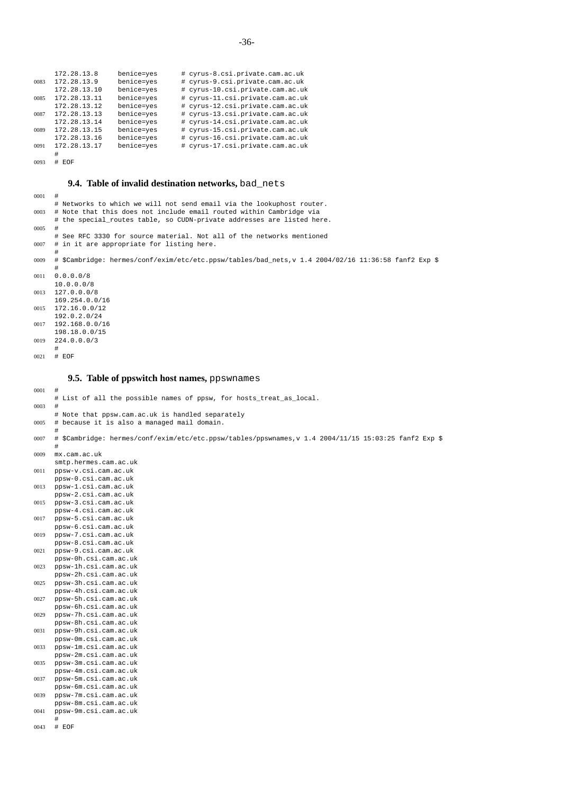|      | 172.28.13.8  | benice=yes | # cyrus-8.csi.private.cam.ac.uk  |
|------|--------------|------------|----------------------------------|
| 0083 | 172.28.13.9  | benice=yes | # cyrus-9.csi.private.cam.ac.uk  |
|      | 172.28.13.10 | benice=yes | # cyrus-10.csi.private.cam.ac.uk |
| 0085 | 172.28.13.11 | benice=yes | # cyrus-11.csi.private.cam.ac.uk |
|      | 172.28.13.12 | benice=ves | # cyrus-12.csi.private.cam.ac.uk |
| 0087 | 172.28.13.13 | benice=yes | # cyrus-13.csi.private.cam.ac.uk |
|      | 172.28.13.14 | benice=ves | # cyrus-14.csi.private.cam.ac.uk |
| 0089 | 172.28.13.15 | benice=ves | # cyrus-15.csi.private.cam.ac.uk |
|      | 172.28.13.16 | benice=yes | # cyrus-16.csi.private.cam.ac.uk |
| 0091 | 172.28.13.17 | benice=yes | # cyrus-17.csi.private.cam.ac.uk |
|      |              |            |                                  |

0093 # EOF

# **9.4. Table of invalid destination networks,** bad\_nets

| 0001 | #                                                                                                    |
|------|------------------------------------------------------------------------------------------------------|
|      | # Networks to which we will not send email via the lookuphost router.                                |
| 0003 | # Note that this does not include email routed within Cambridge via                                  |
|      | # the special_routes table, so CUDN-private addresses are listed here.                               |
| 0005 | #                                                                                                    |
|      | # See RFC 3330 for source material. Not all of the networks mentioned                                |
| 0007 | # in it are appropriate for listing here.                                                            |
|      |                                                                                                      |
| 0009 | \$ \$Cambridge: hermes/conf/exim/etc/etc.ppsw/tables/bad_nets,v 1.4 2004/02/16 11:36:58 fanf2 Exp #  |
|      |                                                                                                      |
|      |                                                                                                      |
| 0011 | 0.0.0.0/8                                                                                            |
|      | 10.0.0.0/8                                                                                           |
| 0013 | 127.0.0.0/8                                                                                          |
|      | 169.254.0.0/16                                                                                       |
| 0015 | 172.16.0.0/12                                                                                        |
|      | 192.0.2.0/24                                                                                         |
| 0017 | 192.168.0.0/16                                                                                       |
|      | 198.18.0.0/15                                                                                        |
| 0019 | 224.0.0.0/3                                                                                          |
|      | #                                                                                                    |
| 0021 | # EOF                                                                                                |
|      |                                                                                                      |
|      |                                                                                                      |
|      | 9.5. Table of ppswitch host names, ppswnames                                                         |
|      |                                                                                                      |
| 0001 | #                                                                                                    |
|      | # List of all the possible names of ppsw, for hosts_treat_as_local.                                  |
| 0003 | #                                                                                                    |
|      | # Note that ppsw.cam.ac.uk is handled separately                                                     |
| 0005 | # because it is also a managed mail domain.                                                          |
|      | #                                                                                                    |
| 0007 | \$ \$Cambridge: hermes/conf/exim/etc/etc.ppsw/tables/ppswnames,v 1.4 2004/11/15 15:03:25 fanf2 Exp # |
|      | #                                                                                                    |
| 0009 | mx.cam.ac.uk                                                                                         |
|      | smtp.hermes.cam.ac.uk                                                                                |
| 0011 | ppsw-v.csi.cam.ac.uk                                                                                 |
|      | ppsw-0.csi.cam.ac.uk                                                                                 |
|      |                                                                                                      |
| 0013 | ppsw-1.csi.cam.ac.uk                                                                                 |
|      | ppsw-2.csi.cam.ac.uk                                                                                 |
| 0015 | ppsw-3.csi.cam.ac.uk                                                                                 |
|      | ppsw-4.csi.cam.ac.uk                                                                                 |
| 0017 | ppsw-5.csi.cam.ac.uk                                                                                 |
|      | ppsw-6.csi.cam.ac.uk                                                                                 |
| 0019 | ppsw-7.csi.cam.ac.uk                                                                                 |
|      | ppsw-8.csi.cam.ac.uk                                                                                 |
| 0021 | ppsw-9.csi.cam.ac.uk                                                                                 |
|      | ppsw-0h.csi.cam.ac.uk                                                                                |
| 0023 | ppsw-1h.csi.cam.ac.uk                                                                                |
|      | ppsw-2h.csi.cam.ac.uk                                                                                |
| 0025 | ppsw-3h.csi.cam.ac.uk                                                                                |
|      | ppsw-4h.csi.cam.ac.uk                                                                                |
| 0027 |                                                                                                      |
|      |                                                                                                      |
|      | ppsw-5h.csi.cam.ac.uk                                                                                |
|      | ppsw-6h.csi.cam.ac.uk                                                                                |
| 0029 | ppsw-7h.csi.cam.ac.uk                                                                                |
|      | ppsw-8h.csi.cam.ac.uk                                                                                |
| 0031 | ppsw-9h.csi.cam.ac.uk                                                                                |
|      | ppsw-0m.csi.cam.ac.uk                                                                                |
| 0033 | ppsw-1m.csi.cam.ac.uk                                                                                |
|      | ppsw-2m.csi.cam.ac.uk                                                                                |
| 0035 | ppsw-3m.csi.cam.ac.uk                                                                                |
|      | ppsw-4m.csi.cam.ac.uk                                                                                |
| 0037 | ppsw-5m.csi.cam.ac.uk                                                                                |
|      | ppsw-6m.csi.cam.ac.uk                                                                                |
| 0039 | ppsw-7m.csi.cam.ac.uk                                                                                |
|      | ppsw-8m.csi.cam.ac.uk                                                                                |
| 0041 | ppsw-9m.csi.cam.ac.uk                                                                                |

0043 # EOF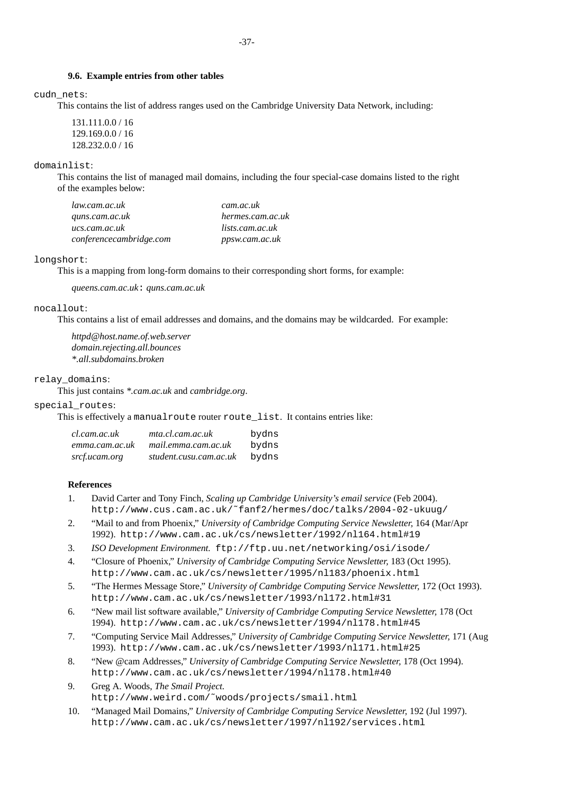## **9.6. Example entries from other tables**

cudn\_nets:

This contains the list of address ranges used on the Cambridge University Data Network, including:

131.111.0.0 / 16 129.169.0.0 / 16 128.232.0.0 / 16

domainlist:

This contains the list of managed mail domains, including the four special-case domains listed to the right of the examples below:

| law.cam.ac.uk           | cam.ac.uk        |
|-------------------------|------------------|
| quns.cam.ac.uk          | hermes.cam.ac.uk |
| ucs.cam.ac.uk           | lists.cam.ac.uk  |
| conferencecambridge.com | ppsw.cam.ac.uk   |

### longshort:

This is a mapping from long-form domains to their corresponding short forms, for example:

*queens.cam.ac.uk*: *quns.cam.ac.uk*

## nocallout:

This contains a list of email addresses and domains, and the domains may be wildcarded. For example:

*httpd@host.name.of.web.server domain.rejecting.all.bounces \*.all.subdomains.broken*

## relay\_domains:

This just contains *\*.cam.ac.uk* and *cambridge.org*.

## special\_routes:

This is effectively a manualroute router route\_list. It contains entries like:

| cl.cam.ac.uk   | mta.cl.cam.ac.uk       | bydns |
|----------------|------------------------|-------|
| emma.cam.ac.uk | mail.emma.cam.ac.uk    | bydns |
| srcf.ucam.org  | student.cusu.cam.ac.uk | bydns |

## **References**

- 1. David Carter and Tony Finch, *Scaling up Cambridge University's email service* (Feb 2004). http://www.cus.cam.ac.uk/˜fanf2/hermes/doc/talks/2004-02-ukuug/
- 2. "Mail to and from Phoenix," *University of Cambridge Computing Service Newsletter,* 164 (Mar/Apr 1992). http://www.cam.ac.uk/cs/newsletter/1992/nl164.html#19
- 3. *ISO Development Environment.* ftp://ftp.uu.net/networking/osi/isode/
- 4. "Closure of Phoenix," *University of Cambridge Computing Service Newsletter,* 183 (Oct 1995). http://www.cam.ac.uk/cs/newsletter/1995/nl183/phoenix.html
- 5. "The Hermes Message Store," *University of Cambridge Computing Service Newsletter,* 172 (Oct 1993). http://www.cam.ac.uk/cs/newsletter/1993/nl172.html#31
- 6. "New mail list software available," *University of Cambridge Computing Service Newsletter,* 178 (Oct 1994). http://www.cam.ac.uk/cs/newsletter/1994/nl178.html#45
- 7. "Computing Service Mail Addresses," *University of Cambridge Computing Service Newsletter,* 171 (Aug 1993). http://www.cam.ac.uk/cs/newsletter/1993/nl171.html#25
- 8. "New @cam Addresses," *University of Cambridge Computing Service Newsletter,* 178 (Oct 1994). http://www.cam.ac.uk/cs/newsletter/1994/nl178.html#40
- 9. Greg A. Woods, *The Smail Project.* http://www.weird.com/˜woods/projects/smail.html
- 10. "Managed Mail Domains," *University of Cambridge Computing Service Newsletter,* 192 (Jul 1997). http://www.cam.ac.uk/cs/newsletter/1997/nl192/services.html